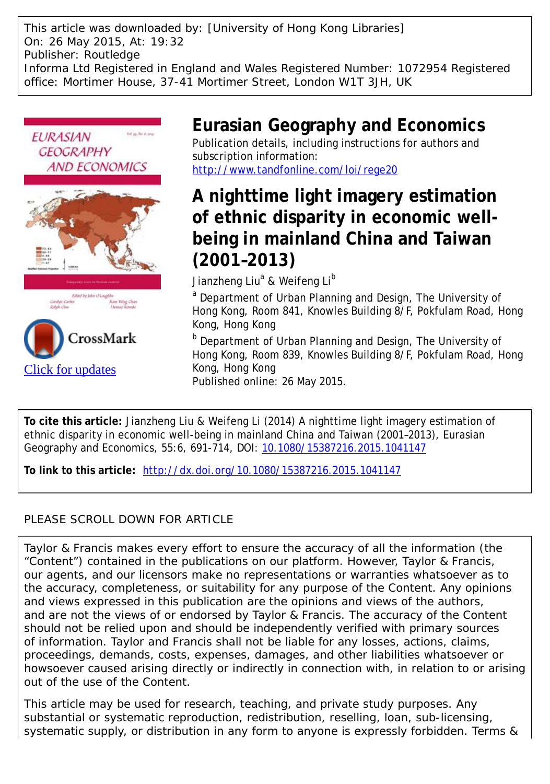This article was downloaded by: [University of Hong Kong Libraries] On: 26 May 2015, At: 19:32 Publisher: Routledge Informa Ltd Registered in England and Wales Registered Number: 1072954 Registered office: Mortimer House, 37-41 Mortimer Street, London W1T 3JH, UK



# **Eurasian Geography and Economics**

Publication details, including instructions for authors and subscription information: <http://www.tandfonline.com/loi/rege20>

**A nighttime light imagery estimation of ethnic disparity in economic wellbeing in mainland China and Taiwan (2001–2013)**

Jianzheng Liu<sup>a</sup> & Weifeng Li<sup>b</sup>

<sup>a</sup> Department of Urban Planning and Design, The University of Hong Kong, Room 841, Knowles Building 8/F, Pokfulam Road, Hong Kong, Hong Kong

**b** Department of Urban Planning and Design, The University of Hong Kong, Room 839, Knowles Building 8/F, Pokfulam Road, Hong Kong, Hong Kong

Published online: 26 May 2015.

**To cite this article:** Jianzheng Liu & Weifeng Li (2014) A nighttime light imagery estimation of ethnic disparity in economic well-being in mainland China and Taiwan (2001–2013), Eurasian Geography and Economics, 55:6, 691-714, DOI: [10.1080/15387216.2015.1041147](http://www.tandfonline.com/action/showCitFormats?doi=10.1080/15387216.2015.1041147)

**To link to this article:** <http://dx.doi.org/10.1080/15387216.2015.1041147>

# PLEASE SCROLL DOWN FOR ARTICLE

Taylor & Francis makes every effort to ensure the accuracy of all the information (the "Content") contained in the publications on our platform. However, Taylor & Francis, our agents, and our licensors make no representations or warranties whatsoever as to the accuracy, completeness, or suitability for any purpose of the Content. Any opinions and views expressed in this publication are the opinions and views of the authors, and are not the views of or endorsed by Taylor & Francis. The accuracy of the Content should not be relied upon and should be independently verified with primary sources of information. Taylor and Francis shall not be liable for any losses, actions, claims, proceedings, demands, costs, expenses, damages, and other liabilities whatsoever or howsoever caused arising directly or indirectly in connection with, in relation to or arising out of the use of the Content.

This article may be used for research, teaching, and private study purposes. Any substantial or systematic reproduction, redistribution, reselling, loan, sub-licensing, systematic supply, or distribution in any form to anyone is expressly forbidden. Terms &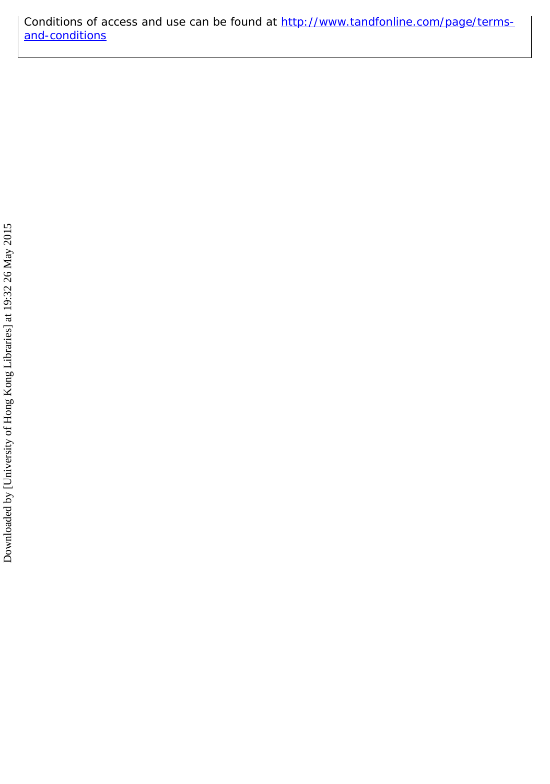Conditions of access and use can be found at [http://www.tandfonline.com/page/terms](http://www.tandfonline.com/page/terms-and-conditions)[and-conditions](http://www.tandfonline.com/page/terms-and-conditions)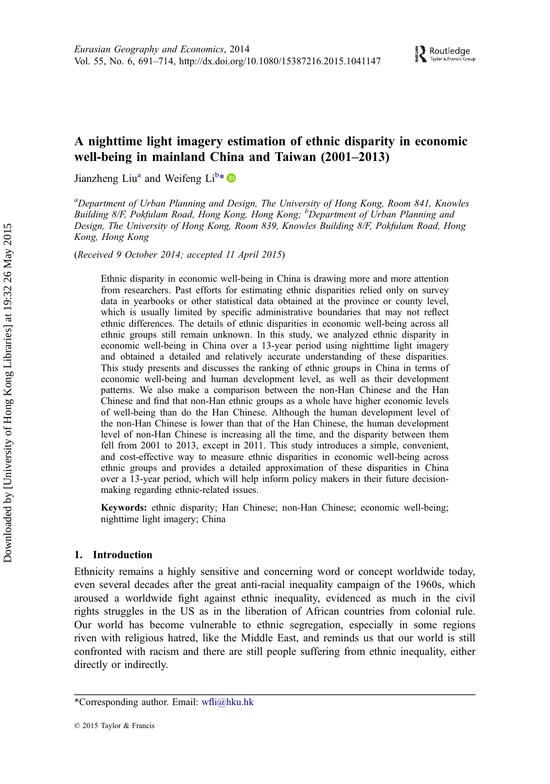# A nighttime light imagery estimation of ethnic disparity in economic well-being in mainland China and Taiwan (2001–2013)

Jianzheng Liu<sup>a</sup> and Weifeng Li<sup>b\*</sup>

<sup>a</sup>Department of Urban Planning and Design, The University of Hong Kong, Room 841, Knowles Building 8/F, Pokfulam Road, Hong Kong, Hong Kong; <sup>b</sup>Department of Urban Planning and Design, The University of Hong Kong, Room 839, Knowles Building 8/F, Pokfulam Road, Hong Kong, Hong Kong

(Received 9 October 2014; accepted 11 April 2015)

Ethnic disparity in economic well-being in China is drawing more and more attention from researchers. Past efforts for estimating ethnic disparities relied only on survey data in yearbooks or other statistical data obtained at the province or county level, which is usually limited by specific administrative boundaries that may not reflect ethnic differences. The details of ethnic disparities in economic well-being across all ethnic groups still remain unknown. In this study, we analyzed ethnic disparity in economic well-being in China over a 13-year period using nighttime light imagery and obtained a detailed and relatively accurate understanding of these disparities. This study presents and discusses the ranking of ethnic groups in China in terms of economic well-being and human development level, as well as their development patterns. We also make a comparison between the non-Han Chinese and the Han Chinese and find that non-Han ethnic groups as a whole have higher economic levels of well-being than do the Han Chinese. Although the human development level of the non-Han Chinese is lower than that of the Han Chinese, the human development level of non-Han Chinese is increasing all the time, and the disparity between them fell from 2001 to 2013, except in 2011. This study introduces a simple, convenient, and cost-effective way to measure ethnic disparities in economic well-being across ethnic groups and provides a detailed approximation of these disparities in China over a 13-year period, which will help inform policy makers in their future decisionmaking regarding ethnic-related issues.

Keywords: ethnic disparity; Han Chinese; non-Han Chinese; economic well-being; nighttime light imagery; China

## 1. Introduction

Ethnicity remains a highly sensitive and concerning word or concept worldwide today, even several decades after the great anti-racial inequality campaign of the 1960s, which aroused a worldwide fight against ethnic inequality, evidenced as much in the civil rights struggles in the US as in the liberation of African countries from colonial rule. Our world has become vulnerable to ethnic segregation, especially in some regions riven with religious hatred, like the Middle East, and reminds us that our world is still confronted with racism and there are still people suffering from ethnic inequality, either directly or indirectly.

<sup>\*</sup>Corresponding author. Email: wfl[i@hku.hk](mailto:wfli@hku.hk)

<sup>© 2015</sup> Taylor & Francis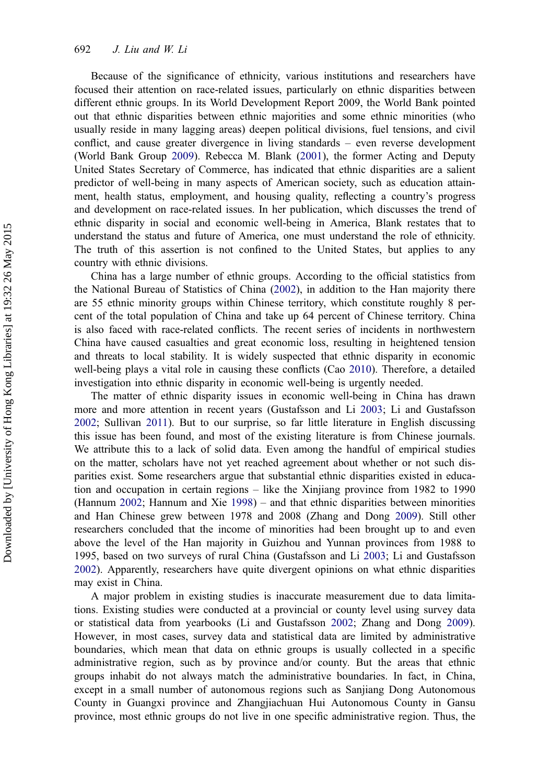Because of the significance of ethnicity, various institutions and researchers have focused their attention on race-related issues, particularly on ethnic disparities between different ethnic groups. In its World Development Report 2009, the World Bank pointed out that ethnic disparities between ethnic majorities and some ethnic minorities (who usually reside in many lagging areas) deepen political divisions, fuel tensions, and civil conflict, and cause greater divergence in living standards – even reverse development (World Bank Group [2009](#page-19-0)). Rebecca M. Blank [\(2001](#page-17-0)), the former Acting and Deputy United States Secretary of Commerce, has indicated that ethnic disparities are a salient predictor of well-being in many aspects of American society, such as education attainment, health status, employment, and housing quality, reflecting a country's progress and development on race-related issues. In her publication, which discusses the trend of ethnic disparity in social and economic well-being in America, Blank restates that to understand the status and future of America, one must understand the role of ethnicity. The truth of this assertion is not confined to the United States, but applies to any country with ethnic divisions.

China has a large number of ethnic groups. According to the official statistics from the National Bureau of Statistics of China ([2002\)](#page-18-0), in addition to the Han majority there are 55 ethnic minority groups within Chinese territory, which constitute roughly 8 percent of the total population of China and take up 64 percent of Chinese territory. China is also faced with race-related conflicts. The recent series of incidents in northwestern China have caused casualties and great economic loss, resulting in heightened tension and threats to local stability. It is widely suspected that ethnic disparity in economic well-being plays a vital role in causing these conflicts (Cao [2010](#page-17-0)). Therefore, a detailed investigation into ethnic disparity in economic well-being is urgently needed.

The matter of ethnic disparity issues in economic well-being in China has drawn more and more attention in recent years (Gustafsson and Li [2003](#page-18-0); Li and Gustafsson [2002;](#page-18-0) Sullivan [2011\)](#page-19-0). But to our surprise, so far little literature in English discussing this issue has been found, and most of the existing literature is from Chinese journals. We attribute this to a lack of solid data. Even among the handful of empirical studies on the matter, scholars have not yet reached agreement about whether or not such disparities exist. Some researchers argue that substantial ethnic disparities existed in education and occupation in certain regions – like the Xinjiang province from 1982 to 1990 (Hannum [2002;](#page-18-0) Hannum and Xie [1998](#page-18-0)) – and that ethnic disparities between minorities and Han Chinese grew between 1978 and 2008 (Zhang and Dong [2009\)](#page-19-0). Still other researchers concluded that the income of minorities had been brought up to and even above the level of the Han majority in Guizhou and Yunnan provinces from 1988 to 1995, based on two surveys of rural China (Gustafsson and Li [2003](#page-18-0); Li and Gustafsson [2002\)](#page-18-0). Apparently, researchers have quite divergent opinions on what ethnic disparities may exist in China.

A major problem in existing studies is inaccurate measurement due to data limitations. Existing studies were conducted at a provincial or county level using survey data or statistical data from yearbooks (Li and Gustafsson [2002](#page-18-0); Zhang and Dong [2009\)](#page-19-0). However, in most cases, survey data and statistical data are limited by administrative boundaries, which mean that data on ethnic groups is usually collected in a specific administrative region, such as by province and/or county. But the areas that ethnic groups inhabit do not always match the administrative boundaries. In fact, in China, except in a small number of autonomous regions such as Sanjiang Dong Autonomous County in Guangxi province and Zhangjiachuan Hui Autonomous County in Gansu province, most ethnic groups do not live in one specific administrative region. Thus, the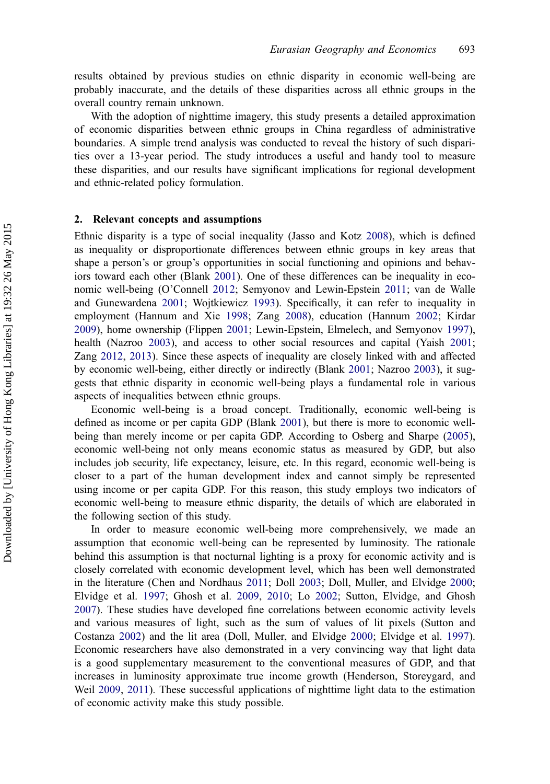results obtained by previous studies on ethnic disparity in economic well-being are probably inaccurate, and the details of these disparities across all ethnic groups in the overall country remain unknown.

With the adoption of nighttime imagery, this study presents a detailed approximation of economic disparities between ethnic groups in China regardless of administrative boundaries. A simple trend analysis was conducted to reveal the history of such disparities over a 13-year period. The study introduces a useful and handy tool to measure these disparities, and our results have significant implications for regional development and ethnic-related policy formulation.

## 2. Relevant concepts and assumptions

Ethnic disparity is a type of social inequality (Jasso and Kotz [2008\)](#page-18-0), which is defined as inequality or disproportionate differences between ethnic groups in key areas that shape a person's or group's opportunities in social functioning and opinions and behaviors toward each other (Blank [2001](#page-17-0)). One of these differences can be inequality in economic well-being (O'Connell [2012](#page-18-0); Semyonov and Lewin-Epstein [2011;](#page-19-0) van de Walle and Gunewardena [2001](#page-19-0); Wojtkiewicz [1993](#page-19-0)). Specifically, it can refer to inequality in employment (Hannum and Xie [1998;](#page-18-0) Zang [2008](#page-19-0)), education (Hannum [2002](#page-18-0); Kirdar [2009\)](#page-18-0), home ownership (Flippen [2001](#page-18-0); Lewin-Epstein, Elmelech, and Semyonov [1997\)](#page-18-0), health (Nazroo [2003](#page-18-0)), and access to other social resources and capital (Yaish [2001;](#page-19-0) Zang [2012](#page-19-0), [2013](#page-19-0)). Since these aspects of inequality are closely linked with and affected by economic well-being, either directly or indirectly (Blank [2001;](#page-17-0) Nazroo [2003](#page-18-0)), it suggests that ethnic disparity in economic well-being plays a fundamental role in various aspects of inequalities between ethnic groups.

Economic well-being is a broad concept. Traditionally, economic well-being is defined as income or per capita GDP (Blank [2001\)](#page-17-0), but there is more to economic wellbeing than merely income or per capita GDP. According to Osberg and Sharpe ([2005\)](#page-18-0), economic well-being not only means economic status as measured by GDP, but also includes job security, life expectancy, leisure, etc. In this regard, economic well-being is closer to a part of the human development index and cannot simply be represented using income or per capita GDP. For this reason, this study employs two indicators of economic well-being to measure ethnic disparity, the details of which are elaborated in the following section of this study.

In order to measure economic well-being more comprehensively, we made an assumption that economic well-being can be represented by luminosity. The rationale behind this assumption is that nocturnal lighting is a proxy for economic activity and is closely correlated with economic development level, which has been well demonstrated in the literature (Chen and Nordhaus [2011;](#page-17-0) Doll [2003](#page-17-0); Doll, Muller, and Elvidge [2000;](#page-17-0) Elvidge et al. [1997](#page-17-0); Ghosh et al. [2009](#page-18-0), [2010;](#page-18-0) Lo [2002;](#page-18-0) Sutton, Elvidge, and Ghosh [2007\)](#page-19-0). These studies have developed fine correlations between economic activity levels and various measures of light, such as the sum of values of lit pixels (Sutton and Costanza [2002\)](#page-19-0) and the lit area (Doll, Muller, and Elvidge [2000;](#page-17-0) Elvidge et al. [1997\)](#page-17-0). Economic researchers have also demonstrated in a very convincing way that light data is a good supplementary measurement to the conventional measures of GDP, and that increases in luminosity approximate true income growth (Henderson, Storeygard, and Weil [2009](#page-18-0), [2011\)](#page-18-0). These successful applications of nighttime light data to the estimation of economic activity make this study possible.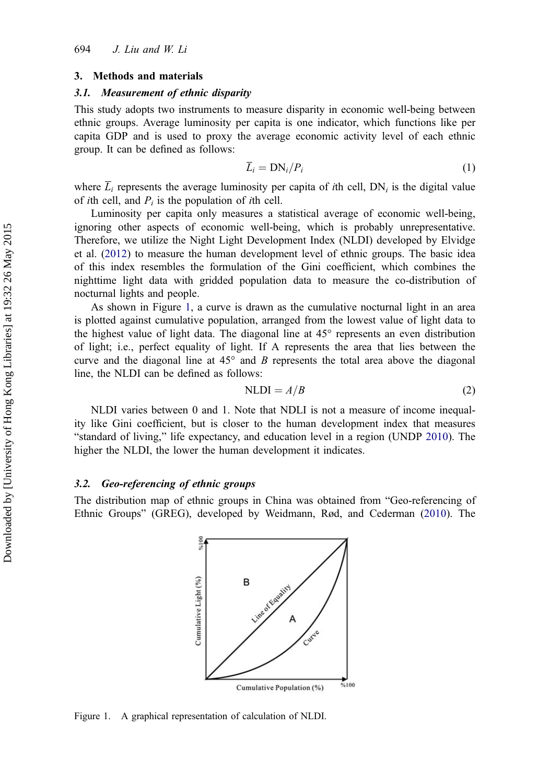#### 3. Methods and materials

# 3.1. Measurement of ethnic disparity

This study adopts two instruments to measure disparity in economic well-being between ethnic groups. Average luminosity per capita is one indicator, which functions like per capita GDP and is used to proxy the average economic activity level of each ethnic group. It can be defined as follows:

$$
\overline{L}_i = \text{DN}_i / P_i \tag{1}
$$

where  $\overline{L}_i$  represents the average luminosity per capita of *i*th cell, DN<sub>i</sub> is the digital value of *i*th cell, and  $P_i$  is the population of *i*th cell.

Luminosity per capita only measures a statistical average of economic well-being, ignoring other aspects of economic well-being, which is probably unrepresentative. Therefore, we utilize the Night Light Development Index (NLDI) developed by Elvidge et al. [\(2012](#page-17-0)) to measure the human development level of ethnic groups. The basic idea of this index resembles the formulation of the Gini coefficient, which combines the nighttime light data with gridded population data to measure the co-distribution of nocturnal lights and people.

As shown in Figure 1, a curve is drawn as the cumulative nocturnal light in an area is plotted against cumulative population, arranged from the lowest value of light data to the highest value of light data. The diagonal line at 45° represents an even distribution of light; i.e., perfect equality of light. If A represents the area that lies between the curve and the diagonal line at  $45^\circ$  and B represents the total area above the diagonal line, the NLDI can be defined as follows:

$$
NLDI = A/B
$$
 (2)

NLDI varies between 0 and 1. Note that NDLI is not a measure of income inequality like Gini coefficient, but is closer to the human development index that measures "standard of living," life expectancy, and education level in a region (UNDP [2010](#page-19-0)). The higher the NLDI, the lower the human development it indicates.

#### 3.2. Geo-referencing of ethnic groups

The distribution map of ethnic groups in China was obtained from "Geo-referencing of Ethnic Groups" (GREG), developed by Weidmann, Rød, and Cederman ([2010](#page-19-0)). The



Figure 1. A graphical representation of calculation of NLDI.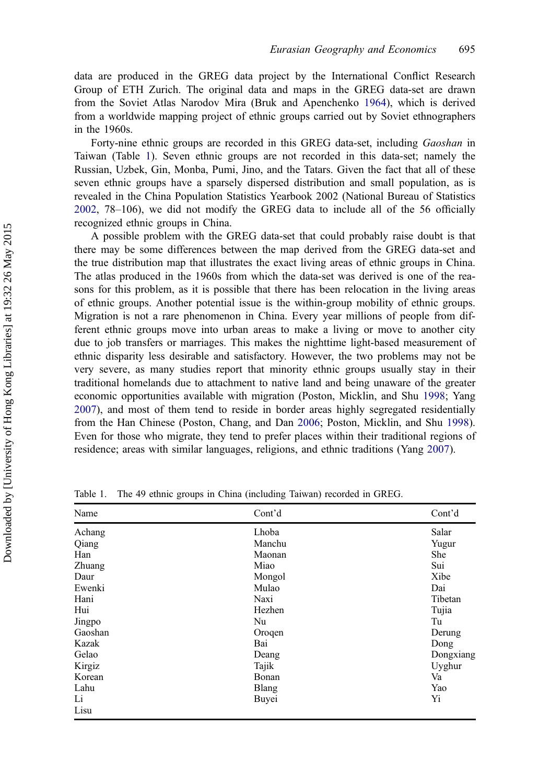data are produced in the GREG data project by the International Conflict Research Group of ETH Zurich. The original data and maps in the GREG data-set are drawn from the Soviet Atlas Narodov Mira (Bruk and Apenchenko [1964\)](#page-17-0), which is derived from a worldwide mapping project of ethnic groups carried out by Soviet ethnographers in the 1960s.

Forty-nine ethnic groups are recorded in this GREG data-set, including *Gaoshan* in Taiwan (Table 1). Seven ethnic groups are not recorded in this data-set; namely the Russian, Uzbek, Gin, Monba, Pumi, Jino, and the Tatars. Given the fact that all of these seven ethnic groups have a sparsely dispersed distribution and small population, as is revealed in the China Population Statistics Yearbook 2002 (National Bureau of Statistics [2002,](#page-18-0) 78–106), we did not modify the GREG data to include all of the 56 officially recognized ethnic groups in China.

A possible problem with the GREG data-set that could probably raise doubt is that there may be some differences between the map derived from the GREG data-set and the true distribution map that illustrates the exact living areas of ethnic groups in China. The atlas produced in the 1960s from which the data-set was derived is one of the reasons for this problem, as it is possible that there has been relocation in the living areas of ethnic groups. Another potential issue is the within-group mobility of ethnic groups. Migration is not a rare phenomenon in China. Every year millions of people from different ethnic groups move into urban areas to make a living or move to another city due to job transfers or marriages. This makes the nighttime light-based measurement of ethnic disparity less desirable and satisfactory. However, the two problems may not be very severe, as many studies report that minority ethnic groups usually stay in their traditional homelands due to attachment to native land and being unaware of the greater economic opportunities available with migration (Poston, Micklin, and Shu [1998;](#page-18-0) Yang [2007\)](#page-19-0), and most of them tend to reside in border areas highly segregated residentially from the Han Chinese (Poston, Chang, and Dan [2006](#page-18-0); Poston, Micklin, and Shu [1998\)](#page-18-0). Even for those who migrate, they tend to prefer places within their traditional regions of residence; areas with similar languages, religions, and ethnic traditions (Yang [2007](#page-19-0)).

| Name    | Cont'd | Cont'd    |
|---------|--------|-----------|
| Achang  | Lhoba  | Salar     |
| Qiang   | Manchu | Yugur     |
| Han     | Maonan | She       |
| Zhuang  | Miao   | Sui       |
| Daur    | Mongol | Xibe      |
| Ewenki  | Mulao  | Dai       |
| Hani    | Naxi   | Tibetan   |
| Hui     | Hezhen | Tujia     |
| Jingpo  | Nu     | Tu        |
| Gaoshan | Orogen | Derung    |
| Kazak   | Bai    | Dong      |
| Gelao   | Deang  | Dongxiang |
| Kirgiz  | Tajik  | Uyghur    |
| Korean  | Bonan  | Va        |
| Lahu    | Blang  | Yao       |
| Li      | Buyei  | Yi        |
| Lisu    |        |           |

Table 1. The 49 ethnic groups in China (including Taiwan) recorded in GREG.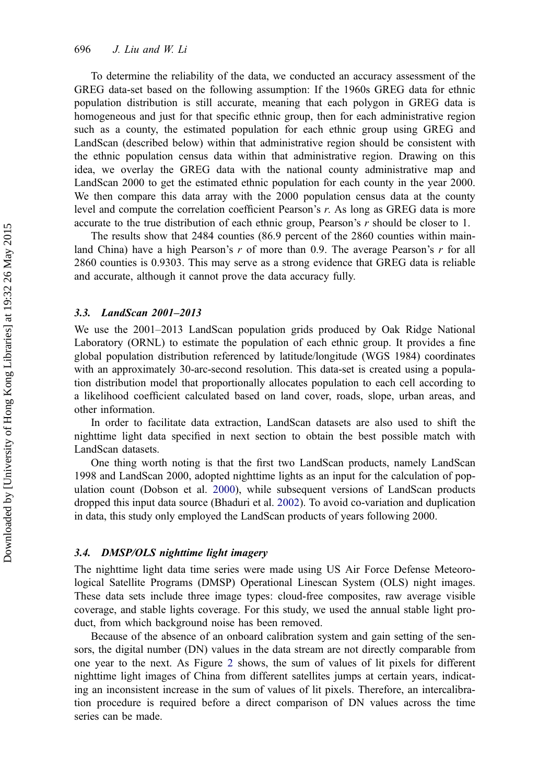To determine the reliability of the data, we conducted an accuracy assessment of the GREG data-set based on the following assumption: If the 1960s GREG data for ethnic population distribution is still accurate, meaning that each polygon in GREG data is homogeneous and just for that specific ethnic group, then for each administrative region such as a county, the estimated population for each ethnic group using GREG and LandScan (described below) within that administrative region should be consistent with the ethnic population census data within that administrative region. Drawing on this idea, we overlay the GREG data with the national county administrative map and LandScan 2000 to get the estimated ethnic population for each county in the year 2000. We then compare this data array with the 2000 population census data at the county level and compute the correlation coefficient Pearson's r. As long as GREG data is more accurate to the true distribution of each ethnic group, Pearson's  $r$  should be closer to 1.

The results show that 2484 counties (86.9 percent of the 2860 counties within mainland China) have a high Pearson's  $r$  of more than 0.9. The average Pearson's  $r$  for all 2860 counties is 0.9303. This may serve as a strong evidence that GREG data is reliable and accurate, although it cannot prove the data accuracy fully.

#### 3.3. LandScan 2001–2013

We use the 2001–2013 LandScan population grids produced by Oak Ridge National Laboratory (ORNL) to estimate the population of each ethnic group. It provides a fine global population distribution referenced by latitude/longitude (WGS 1984) coordinates with an approximately 30-arc-second resolution. This data-set is created using a population distribution model that proportionally allocates population to each cell according to a likelihood coefficient calculated based on land cover, roads, slope, urban areas, and other information.

In order to facilitate data extraction, LandScan datasets are also used to shift the nighttime light data specified in next section to obtain the best possible match with LandScan datasets.

One thing worth noting is that the first two LandScan products, namely LandScan 1998 and LandScan 2000, adopted nighttime lights as an input for the calculation of population count (Dobson et al. [2000](#page-17-0)), while subsequent versions of LandScan products dropped this input data source (Bhaduri et al. [2002\)](#page-17-0). To avoid co-variation and duplication in data, this study only employed the LandScan products of years following 2000.

#### 3.4. DMSP/OLS nighttime light imagery

The nighttime light data time series were made using US Air Force Defense Meteorological Satellite Programs (DMSP) Operational Linescan System (OLS) night images. These data sets include three image types: cloud-free composites, raw average visible coverage, and stable lights coverage. For this study, we used the annual stable light product, from which background noise has been removed.

Because of the absence of an onboard calibration system and gain setting of the sensors, the digital number (DN) values in the data stream are not directly comparable from one year to the next. As Figure [2](#page-8-0) shows, the sum of values of lit pixels for different nighttime light images of China from different satellites jumps at certain years, indicating an inconsistent increase in the sum of values of lit pixels. Therefore, an intercalibration procedure is required before a direct comparison of DN values across the time series can be made.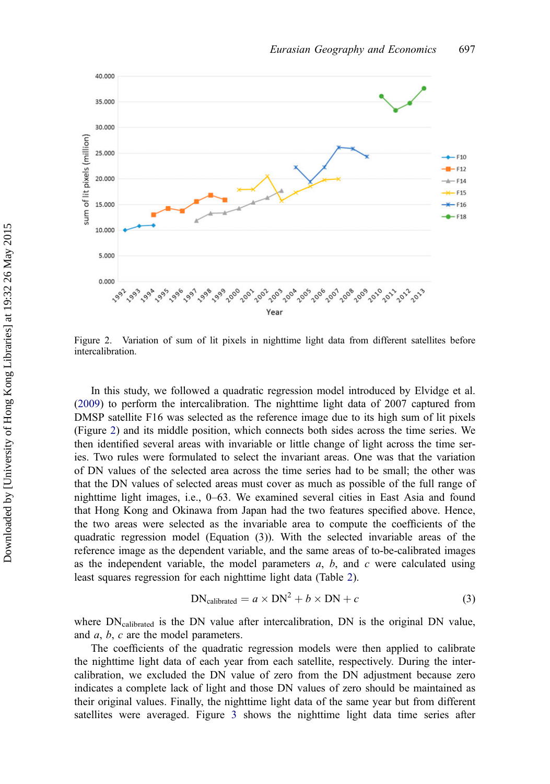<span id="page-8-0"></span>

Figure 2. Variation of sum of lit pixels in nighttime light data from different satellites before intercalibration.

In this study, we followed a quadratic regression model introduced by Elvidge et al. ([2009\)](#page-18-0) to perform the intercalibration. The nighttime light data of 2007 captured from DMSP satellite F16 was selected as the reference image due to its high sum of lit pixels (Figure 2) and its middle position, which connects both sides across the time series. We then identified several areas with invariable or little change of light across the time series. Two rules were formulated to select the invariant areas. One was that the variation of DN values of the selected area across the time series had to be small; the other was that the DN values of selected areas must cover as much as possible of the full range of nighttime light images, i.e., 0–63. We examined several cities in East Asia and found that Hong Kong and Okinawa from Japan had the two features specified above. Hence, the two areas were selected as the invariable area to compute the coefficients of the quadratic regression model (Equation (3)). With the selected invariable areas of the reference image as the dependent variable, and the same areas of to-be-calibrated images as the independent variable, the model parameters  $a, b$ , and  $c$  were calculated using least squares regression for each nighttime light data (Table [2\)](#page-9-0).

$$
DN_{\text{calibrated}} = a \times DN^2 + b \times DN + c \tag{3}
$$

where  $DN_{calibrated}$  is the DN value after intercalibration, DN is the original DN value, and a, b, c are the model parameters.

The coefficients of the quadratic regression models were then applied to calibrate the nighttime light data of each year from each satellite, respectively. During the intercalibration, we excluded the DN value of zero from the DN adjustment because zero indicates a complete lack of light and those DN values of zero should be maintained as their original values. Finally, the nighttime light data of the same year but from different satellites were averaged. Figure [3](#page-10-0) shows the nighttime light data time series after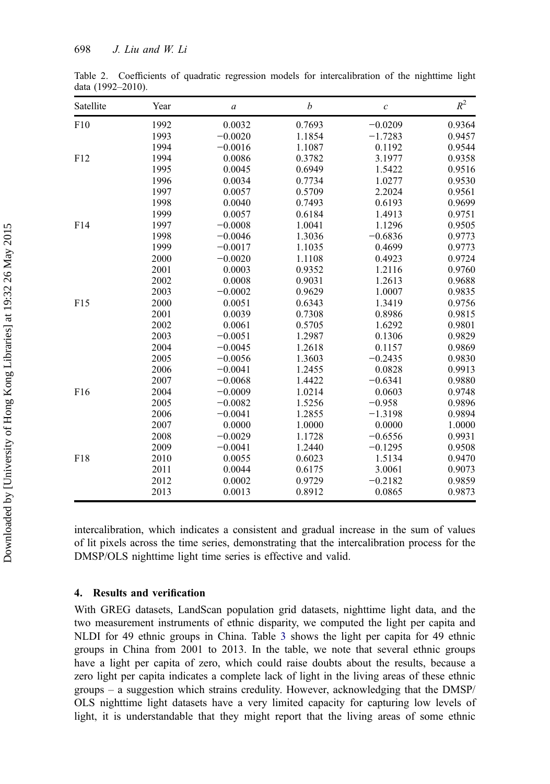| Satellite | Year | $\boldsymbol{a}$ | $\boldsymbol{b}$ | $\boldsymbol{c}$ | $R^2$  |
|-----------|------|------------------|------------------|------------------|--------|
| F10       | 1992 | 0.0032           | 0.7693           | $-0.0209$        | 0.9364 |
|           | 1993 | $-0.0020$        | 1.1854           | $-1.7283$        | 0.9457 |
|           | 1994 | $-0.0016$        | 1.1087           | 0.1192           | 0.9544 |
| F12       | 1994 | 0.0086           | 0.3782           | 3.1977           | 0.9358 |
|           | 1995 | 0.0045           | 0.6949           | 1.5422           | 0.9516 |
|           | 1996 | 0.0034           | 0.7734           | 1.0277           | 0.9530 |
|           | 1997 | 0.0057           | 0.5709           | 2.2024           | 0.9561 |
|           | 1998 | 0.0040           | 0.7493           | 0.6193           | 0.9699 |
|           | 1999 | 0.0057           | 0.6184           | 1.4913           | 0.9751 |
| F14       | 1997 | $-0.0008$        | 1.0041           | 1.1296           | 0.9505 |
|           | 1998 | $-0.0046$        | 1.3036           | $-0.6836$        | 0.9773 |
|           | 1999 | $-0.0017$        | 1.1035           | 0.4699           | 0.9773 |
|           | 2000 | $-0.0020$        | 1.1108           | 0.4923           | 0.9724 |
|           | 2001 | 0.0003           | 0.9352           | 1.2116           | 0.9760 |
|           | 2002 | 0.0008           | 0.9031           | 1.2613           | 0.9688 |
|           | 2003 | $-0.0002$        | 0.9629           | 1.0007           | 0.9835 |
| F15       | 2000 | 0.0051           | 0.6343           | 1.3419           | 0.9756 |
|           | 2001 | 0.0039           | 0.7308           | 0.8986           | 0.9815 |
|           | 2002 | 0.0061           | 0.5705           | 1.6292           | 0.9801 |
|           | 2003 | $-0.0051$        | 1.2987           | 0.1306           | 0.9829 |
|           | 2004 | $-0.0045$        | 1.2618           | 0.1157           | 0.9869 |
|           | 2005 | $-0.0056$        | 1.3603           | $-0.2435$        | 0.9830 |
|           | 2006 | $-0.0041$        | 1.2455           | 0.0828           | 0.9913 |
|           | 2007 | $-0.0068$        | 1.4422           | $-0.6341$        | 0.9880 |
| F16       | 2004 | $-0.0009$        | 1.0214           | 0.0603           | 0.9748 |
|           | 2005 | $-0.0082$        | 1.5256           | $-0.958$         | 0.9896 |
|           | 2006 | $-0.0041$        | 1.2855           | $-1.3198$        | 0.9894 |
|           | 2007 | 0.0000           | 1.0000           | 0.0000           | 1.0000 |
|           | 2008 | $-0.0029$        | 1.1728           | $-0.6556$        | 0.9931 |
|           | 2009 | $-0.0041$        | 1.2440           | $-0.1295$        | 0.9508 |
| F18       | 2010 | 0.0055           | 0.6023           | 1.5134           | 0.9470 |
|           | 2011 | 0.0044           | 0.6175           | 3.0061           | 0.9073 |
|           | 2012 | 0.0002           | 0.9729           | $-0.2182$        | 0.9859 |
|           | 2013 | 0.0013           | 0.8912           | 0.0865           | 0.9873 |

<span id="page-9-0"></span>Table 2. Coefficients of quadratic regression models for intercalibration of the nighttime light data (1992–2010).

intercalibration, which indicates a consistent and gradual increase in the sum of values of lit pixels across the time series, demonstrating that the intercalibration process for the DMSP/OLS nighttime light time series is effective and valid.

#### 4. Results and verification

With GREG datasets, LandScan population grid datasets, nighttime light data, and the two measurement instruments of ethnic disparity, we computed the light per capita and NLDI for 49 ethnic groups in China. Table [3](#page-10-0) shows the light per capita for 49 ethnic groups in China from 2001 to 2013. In the table, we note that several ethnic groups have a light per capita of zero, which could raise doubts about the results, because a zero light per capita indicates a complete lack of light in the living areas of these ethnic groups – a suggestion which strains credulity. However, acknowledging that the  $DMSP$ / OLS nighttime light datasets have a very limited capacity for capturing low levels of light, it is understandable that they might report that the living areas of some ethnic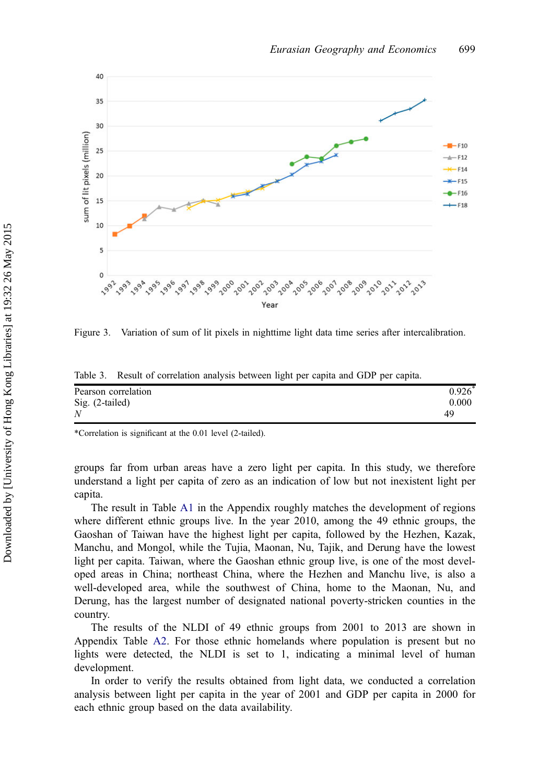<span id="page-10-0"></span>

Figure 3. Variation of sum of lit pixels in nighttime light data time series after intercalibration.

| Pearson correlation |  | 0.926 |
|---------------------|--|-------|
| Sig. (2-tailed)     |  | 0.000 |
| N                   |  | 49    |
|                     |  |       |

Table 3. Result of correlation analysis between light per capita and GDP per capita.

\*Correlation is significant at the 0.01 level (2-tailed).

groups far from urban areas have a zero light per capita. In this study, we therefore understand a light per capita of zero as an indication of low but not inexistent light per capita.

The result in Table [A1](#page-20-0) in the Appendix roughly matches the development of regions where different ethnic groups live. In the year 2010, among the 49 ethnic groups, the Gaoshan of Taiwan have the highest light per capita, followed by the Hezhen, Kazak, Manchu, and Mongol, while the Tujia, Maonan, Nu, Tajik, and Derung have the lowest light per capita. Taiwan, where the Gaoshan ethnic group live, is one of the most developed areas in China; northeast China, where the Hezhen and Manchu live, is also a well-developed area, while the southwest of China, home to the Maonan, Nu, and Derung, has the largest number of designated national poverty-stricken counties in the country.

The results of the NLDI of 49 ethnic groups from 2001 to 2013 are shown in Appendix Table [A2.](#page-20-0) For those ethnic homelands where population is present but no lights were detected, the NLDI is set to 1, indicating a minimal level of human development.

In order to verify the results obtained from light data, we conducted a correlation analysis between light per capita in the year of 2001 and GDP per capita in 2000 for each ethnic group based on the data availability.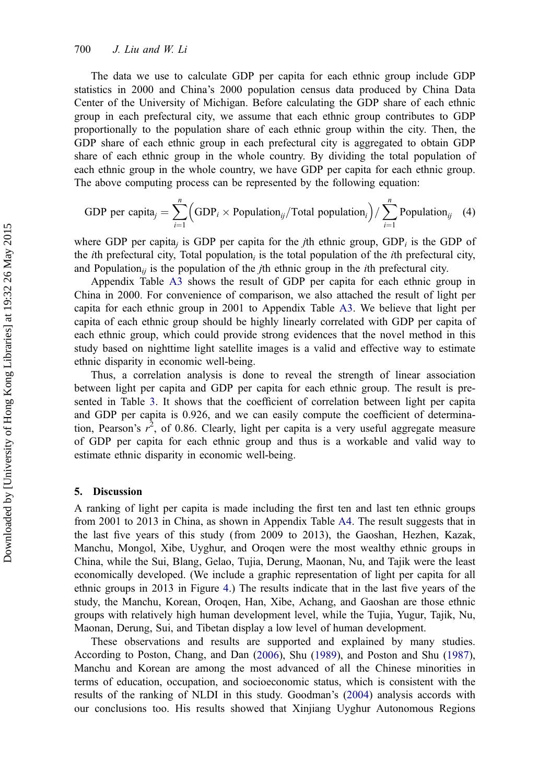The data we use to calculate GDP per capita for each ethnic group include GDP statistics in 2000 and China's 2000 population census data produced by China Data Center of the University of Michigan. Before calculating the GDP share of each ethnic group in each prefectural city, we assume that each ethnic group contributes to GDP proportionally to the population share of each ethnic group within the city. Then, the GDP share of each ethnic group in each prefectural city is aggregated to obtain GDP share of each ethnic group in the whole country. By dividing the total population of each ethnic group in the whole country, we have GDP per capita for each ethnic group. The above computing process can be represented by the following equation:

GDP per capita<sub>j</sub> = 
$$
\sum_{i=1}^{n} (GDP_i \times Population_{ij}/Total population_i) / \sum_{i=1}^{n} Population_{ij}
$$
 (4)

where GDP per capita<sub>i</sub> is GDP per capita for the *j*th ethnic group, GDP<sub>i</sub> is the GDP of the *i*th prefectural city, Total population<sub>i</sub> is the total population of the *i*th prefectural city, and Population<sub>ii</sub> is the population of the *j*th ethnic group in the *i*th prefectural city.

Appendix Table [A3](#page-20-0) shows the result of GDP per capita for each ethnic group in China in 2000. For convenience of comparison, we also attached the result of light per capita for each ethnic group in 2001 to Appendix Table [A3.](#page-20-0) We believe that light per capita of each ethnic group should be highly linearly correlated with GDP per capita of each ethnic group, which could provide strong evidences that the novel method in this study based on nighttime light satellite images is a valid and effective way to estimate ethnic disparity in economic well-being.

Thus, a correlation analysis is done to reveal the strength of linear association between light per capita and GDP per capita for each ethnic group. The result is presented in Table [3](#page-10-0). It shows that the coefficient of correlation between light per capita and GDP per capita is 0.926, and we can easily compute the coefficient of determination, Pearson's  $r^2$ , of 0.86. Clearly, light per capita is a very useful aggregate measure of GDP per capita for each ethnic group and thus is a workable and valid way to estimate ethnic disparity in economic well-being.

#### 5. Discussion

A ranking of light per capita is made including the first ten and last ten ethnic groups from 2001 to 2013 in China, as shown in Appendix Table [A4.](#page-20-0) The result suggests that in the last five years of this study (from 2009 to 2013), the Gaoshan, Hezhen, Kazak, Manchu, Mongol, Xibe, Uyghur, and Oroqen were the most wealthy ethnic groups in China, while the Sui, Blang, Gelao, Tujia, Derung, Maonan, Nu, and Tajik were the least economically developed. (We include a graphic representation of light per capita for all ethnic groups in 2013 in Figure [4](#page-12-0).) The results indicate that in the last five years of the study, the Manchu, Korean, Oroqen, Han, Xibe, Achang, and Gaoshan are those ethnic groups with relatively high human development level, while the Tujia, Yugur, Tajik, Nu, Maonan, Derung, Sui, and Tibetan display a low level of human development.

These observations and results are supported and explained by many studies. According to Poston, Chang, and Dan [\(2006](#page-18-0)), Shu [\(1989](#page-19-0)), and Poston and Shu ([1987\)](#page-18-0), Manchu and Korean are among the most advanced of all the Chinese minorities in terms of education, occupation, and socioeconomic status, which is consistent with the results of the ranking of NLDI in this study. Goodman's [\(2004](#page-18-0)) analysis accords with our conclusions too. His results showed that Xinjiang Uyghur Autonomous Regions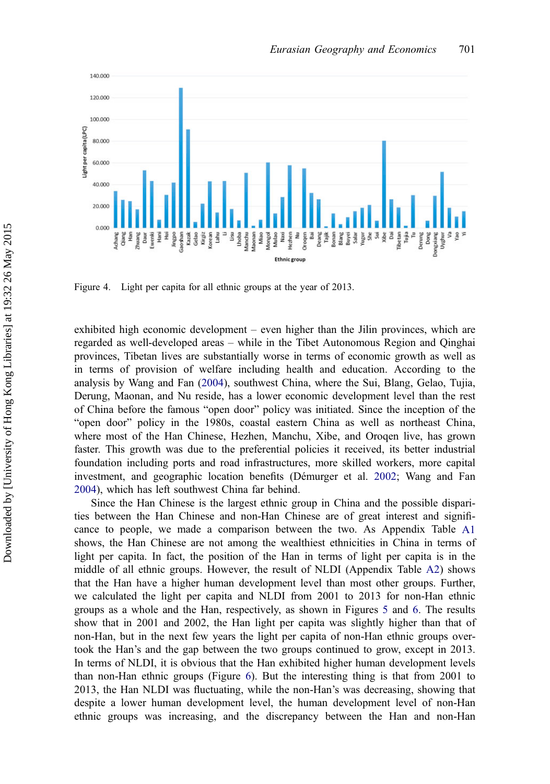<span id="page-12-0"></span>

Figure 4. Light per capita for all ethnic groups at the year of 2013.

exhibited high economic development – even higher than the Jilin provinces, which are regarded as well-developed areas – while in the Tibet Autonomous Region and Qinghai provinces, Tibetan lives are substantially worse in terms of economic growth as well as in terms of provision of welfare including health and education. According to the analysis by Wang and Fan ([2004\)](#page-19-0), southwest China, where the Sui, Blang, Gelao, Tujia, Derung, Maonan, and Nu reside, has a lower economic development level than the rest of China before the famous "open door" policy was initiated. Since the inception of the "open door" policy in the 1980s, coastal eastern China as well as northeast China, where most of the Han Chinese, Hezhen, Manchu, Xibe, and Oroqen live, has grown faster. This growth was due to the preferential policies it received, its better industrial foundation including ports and road infrastructures, more skilled workers, more capital investment, and geographic location benefits (Démurger et al. [2002;](#page-17-0) Wang and Fan [2004\)](#page-19-0), which has left southwest China far behind.

Since the Han Chinese is the largest ethnic group in China and the possible disparities between the Han Chinese and non-Han Chinese are of great interest and significance to people, we made a comparison between the two. As Appendix Table [A1](#page-20-0) shows, the Han Chinese are not among the wealthiest ethnicities in China in terms of light per capita. In fact, the position of the Han in terms of light per capita is in the middle of all ethnic groups. However, the result of NLDI (Appendix Table [A2\)](#page-20-0) shows that the Han have a higher human development level than most other groups. Further, we calculated the light per capita and NLDI from 2001 to 2013 for non-Han ethnic groups as a whole and the Han, respectively, as shown in Figures [5](#page-13-0) and [6](#page-13-0). The results show that in 2001 and 2002, the Han light per capita was slightly higher than that of non-Han, but in the next few years the light per capita of non-Han ethnic groups overtook the Han's and the gap between the two groups continued to grow, except in 2013. In terms of NLDI, it is obvious that the Han exhibited higher human development levels than non-Han ethnic groups (Figure [6](#page-13-0)). But the interesting thing is that from 2001 to 2013, the Han NLDI was fluctuating, while the non-Han's was decreasing, showing that despite a lower human development level, the human development level of non-Han ethnic groups was increasing, and the discrepancy between the Han and non-Han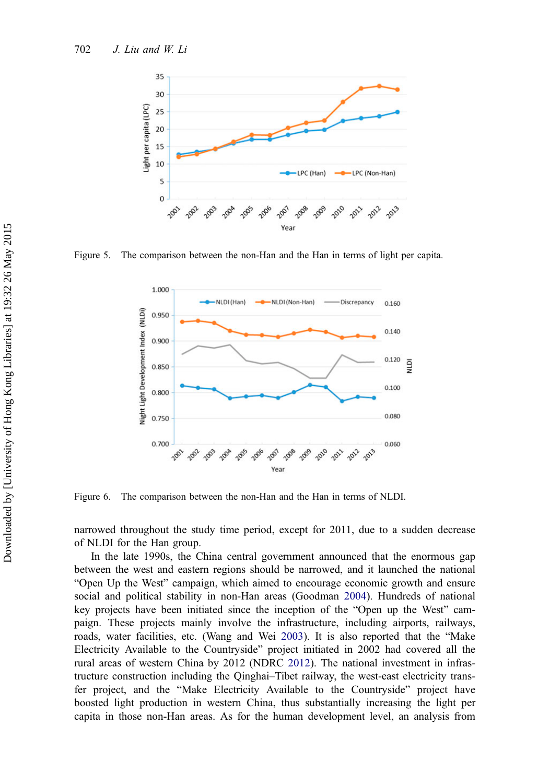<span id="page-13-0"></span>

Figure 5. The comparison between the non-Han and the Han in terms of light per capita.



Figure 6. The comparison between the non-Han and the Han in terms of NLDI.

narrowed throughout the study time period, except for 2011, due to a sudden decrease of NLDI for the Han group.

In the late 1990s, the China central government announced that the enormous gap between the west and eastern regions should be narrowed, and it launched the national "Open Up the West" campaign, which aimed to encourage economic growth and ensure social and political stability in non-Han areas (Goodman [2004\)](#page-18-0). Hundreds of national key projects have been initiated since the inception of the "Open up the West" campaign. These projects mainly involve the infrastructure, including airports, railways, roads, water facilities, etc. (Wang and Wei [2003](#page-19-0)). It is also reported that the "Make Electricity Available to the Countryside" project initiated in 2002 had covered all the rural areas of western China by 2012 (NDRC [2012](#page-18-0)). The national investment in infrastructure construction including the Qinghai–Tibet railway, the west-east electricity transfer project, and the "Make Electricity Available to the Countryside" project have boosted light production in western China, thus substantially increasing the light per capita in those non-Han areas. As for the human development level, an analysis from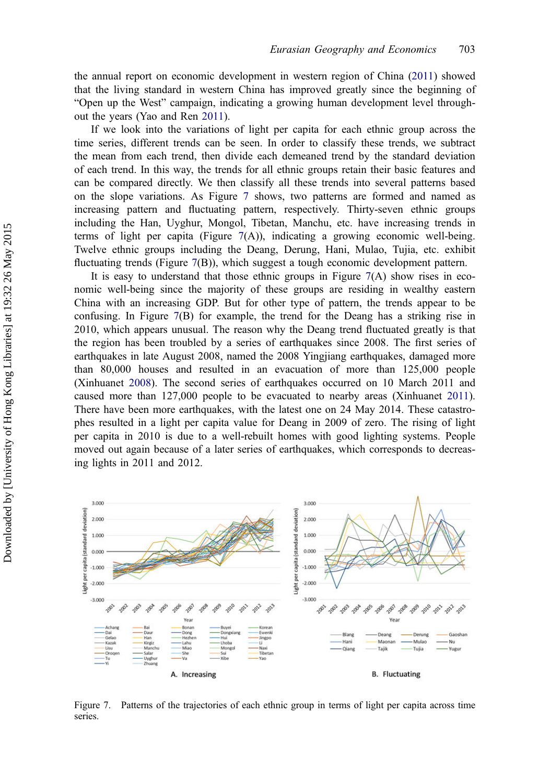the annual report on economic development in western region of China ([2011](#page-19-0)) showed that the living standard in western China has improved greatly since the beginning of "Open up the West" campaign, indicating a growing human development level throughout the years (Yao and Ren [2011\)](#page-19-0).

If we look into the variations of light per capita for each ethnic group across the time series, different trends can be seen. In order to classify these trends, we subtract the mean from each trend, then divide each demeaned trend by the standard deviation of each trend. In this way, the trends for all ethnic groups retain their basic features and can be compared directly. We then classify all these trends into several patterns based on the slope variations. As Figure 7 shows, two patterns are formed and named as increasing pattern and fluctuating pattern, respectively. Thirty-seven ethnic groups including the Han, Uyghur, Mongol, Tibetan, Manchu, etc. have increasing trends in terms of light per capita (Figure 7(A)), indicating a growing economic well-being. Twelve ethnic groups including the Deang, Derung, Hani, Mulao, Tujia, etc. exhibit fluctuating trends (Figure 7(B)), which suggest a tough economic development pattern.

It is easy to understand that those ethnic groups in Figure  $7(A)$  show rises in economic well-being since the majority of these groups are residing in wealthy eastern China with an increasing GDP. But for other type of pattern, the trends appear to be confusing. In Figure  $7(B)$  for example, the trend for the Deang has a striking rise in 2010, which appears unusual. The reason why the Deang trend fluctuated greatly is that the region has been troubled by a series of earthquakes since 2008. The first series of earthquakes in late August 2008, named the 2008 Yingjiang earthquakes, damaged more than 80,000 houses and resulted in an evacuation of more than 125,000 people (Xinhuanet [2008\)](#page-19-0). The second series of earthquakes occurred on 10 March 2011 and caused more than 127,000 people to be evacuated to nearby areas (Xinhuanet [2011\)](#page-19-0). There have been more earthquakes, with the latest one on 24 May 2014. These catastrophes resulted in a light per capita value for Deang in 2009 of zero. The rising of light per capita in 2010 is due to a well-rebuilt homes with good lighting systems. People moved out again because of a later series of earthquakes, which corresponds to decreasing lights in 2011 and 2012.



Figure 7. Patterns of the trajectories of each ethnic group in terms of light per capita across time series.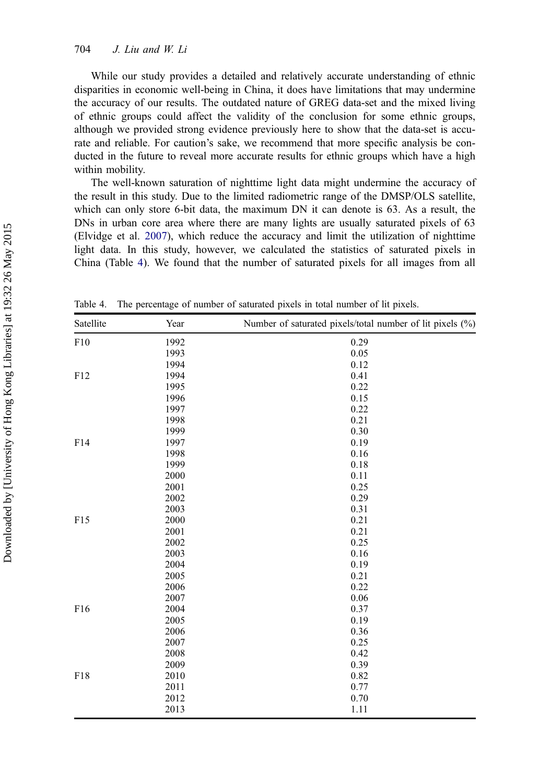While our study provides a detailed and relatively accurate understanding of ethnic disparities in economic well-being in China, it does have limitations that may undermine the accuracy of our results. The outdated nature of GREG data-set and the mixed living of ethnic groups could affect the validity of the conclusion for some ethnic groups, although we provided strong evidence previously here to show that the data-set is accurate and reliable. For caution's sake, we recommend that more specific analysis be conducted in the future to reveal more accurate results for ethnic groups which have a high within mobility.

The well-known saturation of nighttime light data might undermine the accuracy of the result in this study. Due to the limited radiometric range of the DMSP/OLS satellite, which can only store 6-bit data, the maximum DN it can denote is 63. As a result, the DNs in urban core area where there are many lights are usually saturated pixels of 63 (Elvidge et al. [2007\)](#page-17-0), which reduce the accuracy and limit the utilization of nighttime light data. In this study, however, we calculated the statistics of saturated pixels in China (Table 4). We found that the number of saturated pixels for all images from all

| Satellite | Year | Number of saturated pixels/total number of lit pixels (%) |
|-----------|------|-----------------------------------------------------------|
| F10       | 1992 | 0.29                                                      |
|           | 1993 | 0.05                                                      |
|           | 1994 | 0.12                                                      |
| F12       | 1994 | 0.41                                                      |
|           | 1995 | 0.22                                                      |
|           | 1996 | 0.15                                                      |
|           | 1997 | 0.22                                                      |
|           | 1998 | 0.21                                                      |
|           | 1999 | 0.30                                                      |
| F14       | 1997 | 0.19                                                      |
|           | 1998 | 0.16                                                      |
|           | 1999 | 0.18                                                      |
|           | 2000 | 0.11                                                      |
|           | 2001 | 0.25                                                      |
|           | 2002 | 0.29                                                      |
|           | 2003 | 0.31                                                      |
| F15       | 2000 | 0.21                                                      |
|           | 2001 | 0.21                                                      |
|           | 2002 | 0.25                                                      |
|           | 2003 | 0.16                                                      |
|           | 2004 | 0.19                                                      |
|           | 2005 | 0.21                                                      |
|           | 2006 | 0.22                                                      |
|           | 2007 | 0.06                                                      |
| F16       | 2004 | 0.37                                                      |
|           | 2005 | 0.19                                                      |
|           | 2006 | 0.36                                                      |
|           | 2007 | 0.25                                                      |
|           | 2008 | 0.42                                                      |
|           | 2009 | 0.39                                                      |
| F18       | 2010 | 0.82                                                      |
|           | 2011 | 0.77                                                      |
|           | 2012 | 0.70                                                      |
|           | 2013 | 1.11                                                      |

Table 4. The percentage of number of saturated pixels in total number of lit pixels.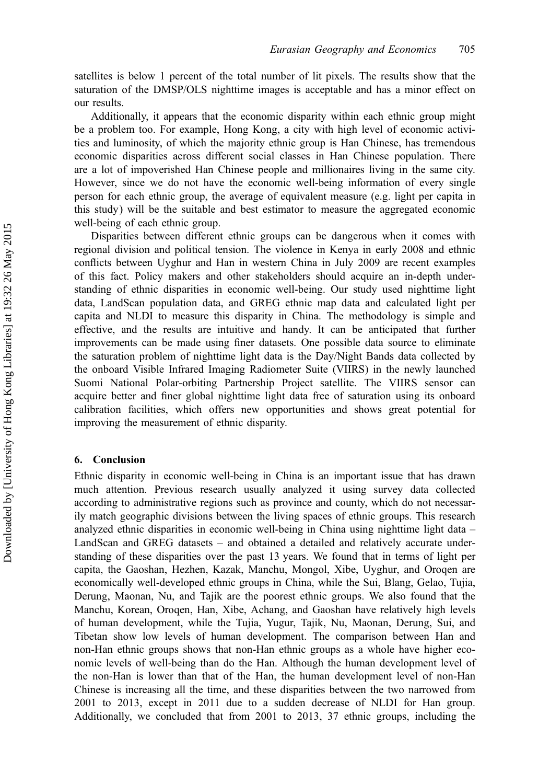satellites is below 1 percent of the total number of lit pixels. The results show that the saturation of the DMSP/OLS nighttime images is acceptable and has a minor effect on our results.

Additionally, it appears that the economic disparity within each ethnic group might be a problem too. For example, Hong Kong, a city with high level of economic activities and luminosity, of which the majority ethnic group is Han Chinese, has tremendous economic disparities across different social classes in Han Chinese population. There are a lot of impoverished Han Chinese people and millionaires living in the same city. However, since we do not have the economic well-being information of every single person for each ethnic group, the average of equivalent measure (e.g. light per capita in this study) will be the suitable and best estimator to measure the aggregated economic well-being of each ethnic group.

Disparities between different ethnic groups can be dangerous when it comes with regional division and political tension. The violence in Kenya in early 2008 and ethnic conflicts between Uyghur and Han in western China in July 2009 are recent examples of this fact. Policy makers and other stakeholders should acquire an in-depth understanding of ethnic disparities in economic well-being. Our study used nighttime light data, LandScan population data, and GREG ethnic map data and calculated light per capita and NLDI to measure this disparity in China. The methodology is simple and effective, and the results are intuitive and handy. It can be anticipated that further improvements can be made using finer datasets. One possible data source to eliminate the saturation problem of nighttime light data is the Day/Night Bands data collected by the onboard Visible Infrared Imaging Radiometer Suite (VIIRS) in the newly launched Suomi National Polar-orbiting Partnership Project satellite. The VIIRS sensor can acquire better and finer global nighttime light data free of saturation using its onboard calibration facilities, which offers new opportunities and shows great potential for improving the measurement of ethnic disparity.

#### 6. Conclusion

Ethnic disparity in economic well-being in China is an important issue that has drawn much attention. Previous research usually analyzed it using survey data collected according to administrative regions such as province and county, which do not necessarily match geographic divisions between the living spaces of ethnic groups. This research analyzed ethnic disparities in economic well-being in China using nighttime light data – LandScan and GREG datasets – and obtained a detailed and relatively accurate understanding of these disparities over the past 13 years. We found that in terms of light per capita, the Gaoshan, Hezhen, Kazak, Manchu, Mongol, Xibe, Uyghur, and Oroqen are economically well-developed ethnic groups in China, while the Sui, Blang, Gelao, Tujia, Derung, Maonan, Nu, and Tajik are the poorest ethnic groups. We also found that the Manchu, Korean, Oroqen, Han, Xibe, Achang, and Gaoshan have relatively high levels of human development, while the Tujia, Yugur, Tajik, Nu, Maonan, Derung, Sui, and Tibetan show low levels of human development. The comparison between Han and non-Han ethnic groups shows that non-Han ethnic groups as a whole have higher economic levels of well-being than do the Han. Although the human development level of the non-Han is lower than that of the Han, the human development level of non-Han Chinese is increasing all the time, and these disparities between the two narrowed from 2001 to 2013, except in 2011 due to a sudden decrease of NLDI for Han group. Additionally, we concluded that from 2001 to 2013, 37 ethnic groups, including the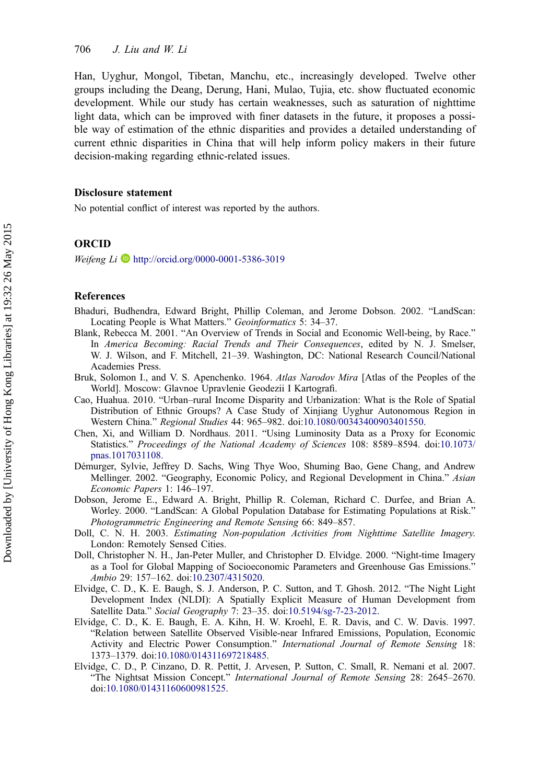<span id="page-17-0"></span>Han, Uyghur, Mongol, Tibetan, Manchu, etc., increasingly developed. Twelve other groups including the Deang, Derung, Hani, Mulao, Tujia, etc. show fluctuated economic development. While our study has certain weaknesses, such as saturation of nighttime light data, which can be improved with finer datasets in the future, it proposes a possible way of estimation of the ethnic disparities and provides a detailed understanding of current ethnic disparities in China that will help inform policy makers in their future decision-making regarding ethnic-related issues.

#### Disclosure statement

No potential conflict of interest was reported by the authors.

## ORCID

Weifeng Li  $\blacksquare$  <http://orcid.org/0000-0001-5386-3019>

#### References

Bhaduri, Budhendra, Edward Bright, Phillip Coleman, and Jerome Dobson. 2002. "LandScan: Locating People is What Matters." Geoinformatics 5: 34–37.

- Blank, Rebecca M. 2001. "An Overview of Trends in Social and Economic Well-being, by Race." In America Becoming: Racial Trends and Their Consequences, edited by N. J. Smelser, W. J. Wilson, and F. Mitchell, 21–39. Washington, DC: National Research Council/National Academies Press.
- Bruk, Solomon I., and V. S. Apenchenko. 1964. Atlas Narodov Mira [Atlas of the Peoples of the World]. Moscow: Glavnoe Upravlenie Geodezii I Kartografi.
- Cao, Huahua. 2010. "Urban–rural Income Disparity and Urbanization: What is the Role of Spatial Distribution of Ethnic Groups? A Case Study of Xinjiang Uyghur Autonomous Region in Western China." Regional Studies 44: 965–982. doi[:10.1080/00343400903401550](http://dx.doi.org/10.1080/00343400903401550).
- Chen, Xi, and William D. Nordhaus. 2011. "Using Luminosity Data as a Proxy for Economic Statistics." Proceedings of the National Academy of Sciences 108: 8589–8594. doi[:10.1073/](http://dx.doi.org/10.1073/pnas.1017031108) [pnas.1017031108](http://dx.doi.org/10.1073/pnas.1017031108).
- Démurger, Sylvie, Jeffrey D. Sachs, Wing Thye Woo, Shuming Bao, Gene Chang, and Andrew Mellinger. 2002. "Geography, Economic Policy, and Regional Development in China." Asian Economic Papers 1: 146–197.
- Dobson, Jerome E., Edward A. Bright, Phillip R. Coleman, Richard C. Durfee, and Brian A. Worley. 2000. "LandScan: A Global Population Database for Estimating Populations at Risk." Photogrammetric Engineering and Remote Sensing 66: 849–857.
- Doll, C. N. H. 2003. Estimating Non-population Activities from Nighttime Satellite Imagery. London: Remotely Sensed Cities.
- Doll, Christopher N. H., Jan-Peter Muller, and Christopher D. Elvidge. 2000. "Night-time Imagery as a Tool for Global Mapping of Socioeconomic Parameters and Greenhouse Gas Emissions." Ambio 29: 157–162. doi[:10.2307/4315020](http://dx.doi.org/10.2307/4315020).
- Elvidge, C. D., K. E. Baugh, S. J. Anderson, P. C. Sutton, and T. Ghosh. 2012. "The Night Light Development Index (NLDI): A Spatially Explicit Measure of Human Development from Satellite Data." Social Geography 7: 23–35. doi:[10.5194/sg-7-23-2012](http://dx.doi.org/10.5194/sg-7-23-2012).
- Elvidge, C. D., K. E. Baugh, E. A. Kihn, H. W. Kroehl, E. R. Davis, and C. W. Davis. 1997. "Relation between Satellite Observed Visible-near Infrared Emissions, Population, Economic Activity and Electric Power Consumption." International Journal of Remote Sensing 18: 1373–1379. doi:[10.1080/014311697218485](http://dx.doi.org/10.1080/014311697218485).
- Elvidge, C. D., P. Cinzano, D. R. Pettit, J. Arvesen, P. Sutton, C. Small, R. Nemani et al. 2007. "The Nightsat Mission Concept." International Journal of Remote Sensing 28: 2645–2670. doi[:10.1080/01431160600981525.](http://dx.doi.org/10.1080/01431160600981525)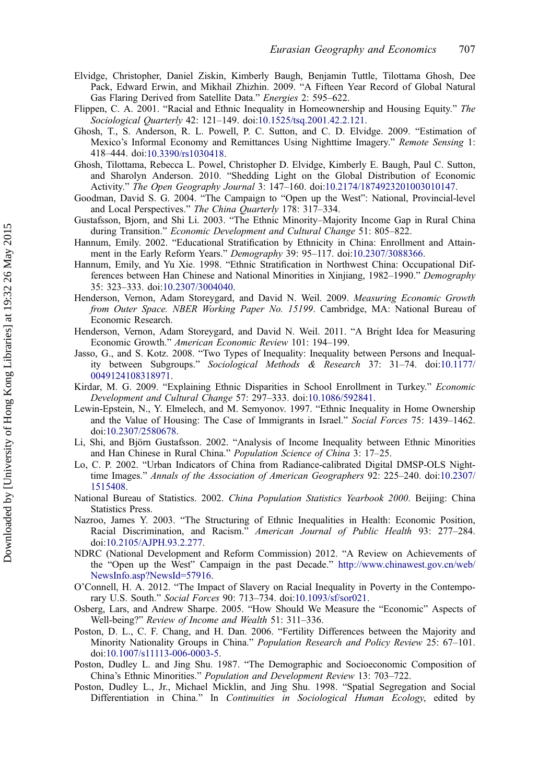- <span id="page-18-0"></span>Elvidge, Christopher, Daniel Ziskin, Kimberly Baugh, Benjamin Tuttle, Tilottama Ghosh, Dee Pack, Edward Erwin, and Mikhail Zhizhin. 2009. "A Fifteen Year Record of Global Natural Gas Flaring Derived from Satellite Data." Energies 2: 595–622.
- Flippen, C. A. 2001. "Racial and Ethnic Inequality in Homeownership and Housing Equity." The Sociological Quarterly 42: 121–149. doi:[10.1525/tsq.2001.42.2.121](http://dx.doi.org/10.1525/tsq.2001.42.2.121).
- Ghosh, T., S. Anderson, R. L. Powell, P. C. Sutton, and C. D. Elvidge. 2009. "Estimation of Mexico's Informal Economy and Remittances Using Nighttime Imagery." Remote Sensing 1: 418–444. doi:[10.3390/rs1030418](http://dx.doi.org/10.3390/rs1030418).
- Ghosh, Tilottama, Rebecca L. Powel, Christopher D. Elvidge, Kimberly E. Baugh, Paul C. Sutton, and Sharolyn Anderson. 2010. "Shedding Light on the Global Distribution of Economic Activity." The Open Geography Journal 3: 147–160. doi:[10.2174/1874923201003010147.](http://dx.doi.org/10.2174/1874923201003010147)
- Goodman, David S. G. 2004. "The Campaign to "Open up the West": National, Provincial-level and Local Perspectives." The China Quarterly 178: 317–334.
- Gustafsson, Bjorn, and Shi Li. 2003. "The Ethnic Minority–Majority Income Gap in Rural China during Transition." Economic Development and Cultural Change 51: 805–822.
- Hannum, Emily. 2002. "Educational Stratification by Ethnicity in China: Enrollment and Attainment in the Early Reform Years." Demography 39: 95–117. doi:[10.2307/3088366.](http://dx.doi.org/10.2307/3088366)
- Hannum, Emily, and Yu Xie. 1998. "Ethnic Stratification in Northwest China: Occupational Differences between Han Chinese and National Minorities in Xinjiang, 1982–1990." Demography 35: 323–333. doi[:10.2307/3004040](http://dx.doi.org/10.2307/3004040).
- Henderson, Vernon, Adam Storeygard, and David N. Weil. 2009. Measuring Economic Growth from Outer Space. NBER Working Paper No. 15199. Cambridge, MA: National Bureau of Economic Research.
- Henderson, Vernon, Adam Storeygard, and David N. Weil. 2011. "A Bright Idea for Measuring Economic Growth." American Economic Review 101: 194–199.
- Jasso, G., and S. Kotz. 2008. "Two Types of Inequality: Inequality between Persons and Inequality between Subgroups." Sociological Methods & Research 37: 31–74. doi[:10.1177/](http://dx.doi.org/10.1177/0049124108318971) [0049124108318971](http://dx.doi.org/10.1177/0049124108318971).
- Kirdar, M. G. 2009. "Explaining Ethnic Disparities in School Enrollment in Turkey." Economic Development and Cultural Change 57: 297–333. doi[:10.1086/592841.](http://dx.doi.org/10.1086/592841)
- Lewin-Epstein, N., Y. Elmelech, and M. Semyonov. 1997. "Ethnic Inequality in Home Ownership and the Value of Housing: The Case of Immigrants in Israel." Social Forces 75: 1439–1462. doi[:10.2307/2580678](http://dx.doi.org/10.2307/2580678).
- Li, Shi, and Björn Gustafsson. 2002. "Analysis of Income Inequality between Ethnic Minorities and Han Chinese in Rural China." Population Science of China 3: 17–25.
- Lo, C. P. 2002. "Urban Indicators of China from Radiance-calibrated Digital DMSP-OLS Nighttime Images." Annals of the Association of American Geographers 92: 225–240. doi[:10.2307/](http://dx.doi.org/10.2307/1515408) [1515408.](http://dx.doi.org/10.2307/1515408)
- National Bureau of Statistics. 2002. China Population Statistics Yearbook 2000. Beijing: China Statistics Press.
- Nazroo, James Y. 2003. "The Structuring of Ethnic Inequalities in Health: Economic Position, Racial Discrimination, and Racism." American Journal of Public Health 93: 277–284. doi[:10.2105/AJPH.93.2.277.](http://dx.doi.org/10.2105/AJPH.93.2.277)
- NDRC (National Development and Reform Commission) 2012. "A Review on Achievements of the "Open up the West" Campaign in the past Decade." [http://www.chinawest.gov.cn/web/](http://www.chinawest.gov.cn/web/NewsInfo.asp?NewsId=57916) [NewsInfo.asp?NewsId=57916](http://www.chinawest.gov.cn/web/NewsInfo.asp?NewsId=57916).
- O'Connell, H. A. 2012. "The Impact of Slavery on Racial Inequality in Poverty in the Contemporary U.S. South." Social Forces 90: 713–734. doi:[10.1093/sf/sor021](http://dx.doi.org/10.1093/sf/sor021).
- Osberg, Lars, and Andrew Sharpe. 2005. "How Should We Measure the "Economic" Aspects of Well-being?" Review of Income and Wealth 51: 311–336.
- Poston, D. L., C. F. Chang, and H. Dan. 2006. "Fertility Differences between the Majority and Minority Nationality Groups in China." Population Research and Policy Review 25: 67–101. doi[:10.1007/s11113-006-0003-5](http://dx.doi.org/10.1007/s11113-006-0003-5).
- Poston, Dudley L. and Jing Shu. 1987. "The Demographic and Socioeconomic Composition of China's Ethnic Minorities." Population and Development Review 13: 703–722.
- Poston, Dudley L., Jr., Michael Micklin, and Jing Shu. 1998. "Spatial Segregation and Social Differentiation in China." In Continuities in Sociological Human Ecology, edited by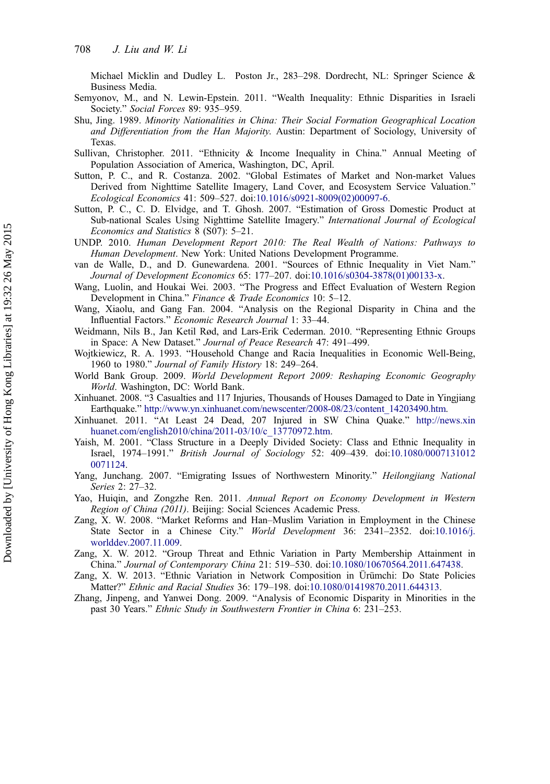<span id="page-19-0"></span>Michael Micklin and Dudley L. Poston Jr., 283–298. Dordrecht, NL: Springer Science & Business Media.

- Semyonov, M., and N. Lewin-Epstein. 2011. "Wealth Inequality: Ethnic Disparities in Israeli Society." Social Forces 89: 935-959.
- Shu, Jing. 1989. Minority Nationalities in China: Their Social Formation Geographical Location and Differentiation from the Han Majority. Austin: Department of Sociology, University of Texas.
- Sullivan, Christopher. 2011. "Ethnicity & Income Inequality in China." Annual Meeting of Population Association of America, Washington, DC, April.
- Sutton, P. C., and R. Costanza. 2002. "Global Estimates of Market and Non-market Values Derived from Nighttime Satellite Imagery, Land Cover, and Ecosystem Service Valuation." Ecological Economics 41: 509–527. doi:[10.1016/s0921-8009\(02\)00097-6.](http://dx.doi.org/10.1016/s0921-8009(02)00097-6)
- Sutton, P. C., C. D. Elvidge, and T. Ghosh. 2007. "Estimation of Gross Domestic Product at Sub-national Scales Using Nighttime Satellite Imagery." International Journal of Ecological Economics and Statistics 8 (S07): 5–21.
- UNDP. 2010. Human Development Report 2010: The Real Wealth of Nations: Pathways to Human Development. New York: United Nations Development Programme.
- van de Walle, D., and D. Gunewardena. 2001. "Sources of Ethnic Inequality in Viet Nam." Journal of Development Economics 65: 177–207. doi:[10.1016/s0304-3878\(01\)00133-x.](http://dx.doi.org/10.1016/s0304-3878(01)00133-x)
- Wang, Luolin, and Houkai Wei. 2003. "The Progress and Effect Evaluation of Western Region Development in China." Finance & Trade Economics 10: 5–12.
- Wang, Xiaolu, and Gang Fan. 2004. "Analysis on the Regional Disparity in China and the Influential Factors." Economic Research Journal 1: 33–44.
- Weidmann, Nils B., Jan Ketil Rød, and Lars-Erik Cederman. 2010. "Representing Ethnic Groups in Space: A New Dataset." Journal of Peace Research 47: 491–499.
- Wojtkiewicz, R. A. 1993. "Household Change and Racia Inequalities in Economic Well-Being, 1960 to 1980." Journal of Family History 18: 249–264.
- World Bank Group. 2009. World Development Report 2009: Reshaping Economic Geography World. Washington, DC: World Bank.
- Xinhuanet. 2008. "3 Casualties and 117 Injuries, Thousands of Houses Damaged to Date in Yingjiang Earthquake." [http://www.yn.xinhuanet.com/newscenter/2008-08/23/content\\_14203490.htm.](http://www.yn.xinhuanet.com/newscenter/2008-08/23/content_14203490.htm)
- Xinhuanet. 2011. "At Least 24 Dead, 207 Injured in SW China Quake." [http://news.xin](http://news.xinhuanet.com/english2010/china/2011-03/10/c_13770972.htm) [huanet.com/english2010/china/2011-03/10/c\\_13770972.htm](http://news.xinhuanet.com/english2010/china/2011-03/10/c_13770972.htm).
- Yaish, M. 2001. "Class Structure in a Deeply Divided Society: Class and Ethnic Inequality in Israel, 1974–1991." British Journal of Sociology 52: 409–439. doi[:10.1080/0007131012](http://dx.doi.org/10.1080/00071310120071124) [0071124](http://dx.doi.org/10.1080/00071310120071124).
- Yang, Junchang. 2007. "Emigrating Issues of Northwestern Minority." Heilongjiang National Series 2: 27–32.
- Yao, Huiqin, and Zongzhe Ren. 2011. Annual Report on Economy Development in Western Region of China (2011). Beijing: Social Sciences Academic Press.
- Zang, X. W. 2008. "Market Reforms and Han–Muslim Variation in Employment in the Chinese State Sector in a Chinese City." World Development 36: 2341–2352. doi[:10.1016/j.](http://dx.doi.org/10.1016/j.worlddev.2007.11.009) [worlddev.2007.11.009](http://dx.doi.org/10.1016/j.worlddev.2007.11.009).
- Zang, X. W. 2012. "Group Threat and Ethnic Variation in Party Membership Attainment in China." Journal of Contemporary China 21: 519–530. doi[:10.1080/10670564.2011.647438.](http://dx.doi.org/10.1080/10670564.2011.647438)
- Zang, X. W. 2013. "Ethnic Variation in Network Composition in Ürümchi: Do State Policies Matter?" Ethnic and Racial Studies 36: 179–198. doi:[10.1080/01419870.2011.644313](http://dx.doi.org/10.1080/01419870.2011.644313).
- Zhang, Jinpeng, and Yanwei Dong. 2009. "Analysis of Economic Disparity in Minorities in the past 30 Years." Ethnic Study in Southwestern Frontier in China 6: 231–253.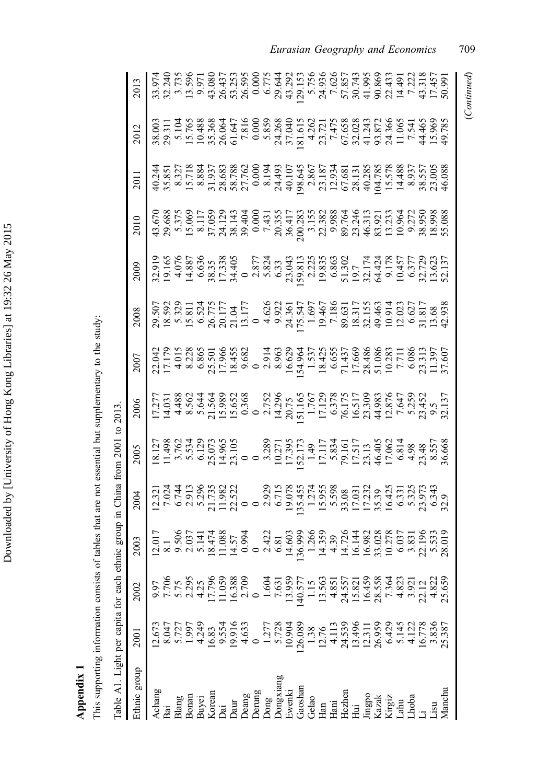| ļ                |
|------------------|
| l                |
| l                |
|                  |
|                  |
| ı<br>l           |
|                  |
| $5 - 2$          |
| I                |
|                  |
|                  |
| I                |
|                  |
| 1                |
|                  |
| l                |
|                  |
| l<br>١           |
| l                |
| I                |
| i<br>١<br>֠<br>ï |
| l<br>j           |
| ׇ֠<br>i          |
| ֠<br>١           |
|                  |
| ١<br>i           |
| i<br>i           |
| ֠                |
|                  |
|                  |
| l<br>j           |
| l                |
|                  |
|                  |
| $\frac{1}{2}$    |
| l                |
|                  |
|                  |
|                  |
|                  |
| ١                |
|                  |
| ı                |
|                  |
| ļ                |
| ١                |

Appendix 1 Appendix 1

This supporting information consists of tables that are not essential but supplementary to the study: This supporting information consists of tables that are not essential but supplementary to the study:

| $\frac{1}{2}$                                                                               |
|---------------------------------------------------------------------------------------------|
|                                                                                             |
|                                                                                             |
| $\tilde{\phantom{a}}$                                                                       |
|                                                                                             |
| ֪֚֠֘֘                                                                                       |
|                                                                                             |
|                                                                                             |
|                                                                                             |
|                                                                                             |
|                                                                                             |
| ֧֧֧֧֧֧֧֧֧ׅ֧֧֧֧֧֧֧֧֧֧֧֧֛֚֚֚֚֚֚֚֚֚֚֚֚֚֚֚֚֚֚֚֚֚֚֚֚֚֚֚֚֚֝֝֓֝֬֝֓֝֓֝֓֝֬֝֬֜֓֝֬֝֬֝֬֝֬֝֬֝֬֝֬֝֬֝֬֝֬֝֬ |
|                                                                                             |
|                                                                                             |
|                                                                                             |
| $\sim$                                                                                      |
|                                                                                             |
| $\frac{1}{2}$                                                                               |
|                                                                                             |
| ֧֧֧ׅ֧֧ׅ֧ׅ֧ׅ֧֛֛֚֚֚֚֚֚֚֚֚֚֚֚֚֚֚֚֡֓֕֓֡֓֜֓֓֝֓֜֓֜֓֜֓֜                                            |
|                                                                                             |
| $\frac{1}{2}$                                                                               |
|                                                                                             |
|                                                                                             |
|                                                                                             |
| こうしゅ こうし                                                                                    |
|                                                                                             |
|                                                                                             |
| ֖֖ׅׅ֧ׅ֧ׅ֧֧ׅ֧֚֚֚֚֚֚֚֚֚֚֚֚֚֚֚֚֚֚֚֚֚֚֚֚֚֚֚֚֡֝֝֝֬֝֬֝֓֝֬                                         |
|                                                                                             |
|                                                                                             |
|                                                                                             |
|                                                                                             |
| ֖֖֖֖֖֧ׅ֖֖֧֪ׅ֖֧֧֪֪ׅ֖֧֚֚֚֚֚֚֚֚֚֚֚֚֚֚֚֚֚֚֚֚֚֚֚֚֚֚֚֚֚֚֚֚֡֝֝֓֞֝֓֞֝֝                              |

<span id="page-20-0"></span>

| thnic group 2001                                                                                                                                                                                                                                                                                                                                                                     | 2002 | $\begin{array}{r} 2003 \\ 12.01 \\ 12.01 \\ 24.4 \\ 35.5 \\ 6.31 \\ 7.41 \\ 8.5 \\ 9.63 \\ 14.5 \\ 15.69 \\ 16.39 \\ 17.7 \\ 18.9 \\ 19.69 \\ 14.73 \\ 15.9 \\ 16.1 \\ 17.1 \\ 18.1 \\ 17.1 \\ 18.1 \\ 19.0 \\ 13.0 \\ 13.0 \\ 13.0 \\ 13.0 \\ 13.0 \\ 13.0 \\ 13.0 \\ 13.0 \\ 13.0 \\ 13.0 \\ 13.0 \\ 13.$ | 2004                                                                                                                                                                                                                                                                                                                                                                                   | 2005                                                                                                                                                                                                                                 | 2006                                                                                                                                                                                                                                                              | 2007 | 2008 | 2009                                                                                                                                                                                                                                                                                        | 2010 | 2011 | 2012 | 2013 |
|--------------------------------------------------------------------------------------------------------------------------------------------------------------------------------------------------------------------------------------------------------------------------------------------------------------------------------------------------------------------------------------|------|-------------------------------------------------------------------------------------------------------------------------------------------------------------------------------------------------------------------------------------------------------------------------------------------------------------|----------------------------------------------------------------------------------------------------------------------------------------------------------------------------------------------------------------------------------------------------------------------------------------------------------------------------------------------------------------------------------------|--------------------------------------------------------------------------------------------------------------------------------------------------------------------------------------------------------------------------------------|-------------------------------------------------------------------------------------------------------------------------------------------------------------------------------------------------------------------------------------------------------------------|------|------|---------------------------------------------------------------------------------------------------------------------------------------------------------------------------------------------------------------------------------------------------------------------------------------------|------|------|------|------|
|                                                                                                                                                                                                                                                                                                                                                                                      |      |                                                                                                                                                                                                                                                                                                             | $\begin{bmatrix} .1 & .3 & .1 \\ 1 & .2 & .3 \\ 1 & .3 & .5 \\ 1 & .4 & .5 \\ 1 & .5 & .5 \\ 1 & .5 & .5 \\ 1 & .5 & .5 \\ 1 & .5 & .5 \\ 1 & .5 & .5 \\ 1 & .5 & .5 \\ 1 & .5 & .5 \\ 1 & .5 & .5 \\ 1 & .5 & .5 \\ 1 & .5 & .5 \\ 1 & .5 & .5 \\ 1 & .5 & .5 \\ 1 & .5 & .5 \\ 1 & .5 & .5 \\ 1 & .5 & .5 \\ 1 & .5 & .5 \\ 1 & .5 & .5 \\ 1 & .5 & .5 \\ 1 & .5 & .5 \\ 1 & .5 & .$ | 12.38 12.38 12.38 12.58 12.58 12.58 12.58 12.58 12.58 12.58 12.58 12.58 12.58 12.58 12.58 12.58 12.58 12.58 12<br>12.58 12.58 12.58 12.58 12.58 12.58 12.58 12.58 12.58 12.58 12.58 12.58 12.58 12.58 12.58 12.58 12.58 12.58 12<br> | 114 = 802<br>1203 = 802<br>1203 = 802<br>1203 = 802<br>1203 = 802<br>1203 = 802<br>1203 = 802<br>1203 = 802<br>1203 = 802<br>1203 = 802<br>1203 = 802<br>1203 = 802<br>1203 = 802<br>1203 = 802<br>1203 = 802<br>1203 = 802<br>1203 = 802<br>1203 = 802<br>1203 = |      |      | $\begin{array}{r} 12.9196 \\ 12.165 \\ 13.168 \\ 14.887 \\ 15.173 \\ 16.635 \\ 17.336 \\ 18.834 \\ 17.336 \\ 18.834 \\ 18.834 \\ 18.834 \\ 18.835 \\ 12.137 \\ 12.137 \\ 12.137 \\ 12.137 \\ 12.137 \\ 12.137 \\ 12.137 \\ 12.137 \\ 12.137 \\ 12.137 \\ 12.137 \\ 12.137 \\ 12.137 \\ 12.$ |      |      |      |      |
|                                                                                                                                                                                                                                                                                                                                                                                      |      |                                                                                                                                                                                                                                                                                                             |                                                                                                                                                                                                                                                                                                                                                                                        |                                                                                                                                                                                                                                      |                                                                                                                                                                                                                                                                   |      |      |                                                                                                                                                                                                                                                                                             |      |      |      |      |
|                                                                                                                                                                                                                                                                                                                                                                                      |      |                                                                                                                                                                                                                                                                                                             |                                                                                                                                                                                                                                                                                                                                                                                        |                                                                                                                                                                                                                                      |                                                                                                                                                                                                                                                                   |      |      |                                                                                                                                                                                                                                                                                             |      |      |      |      |
|                                                                                                                                                                                                                                                                                                                                                                                      |      |                                                                                                                                                                                                                                                                                                             |                                                                                                                                                                                                                                                                                                                                                                                        |                                                                                                                                                                                                                                      |                                                                                                                                                                                                                                                                   |      |      |                                                                                                                                                                                                                                                                                             |      |      |      |      |
|                                                                                                                                                                                                                                                                                                                                                                                      |      |                                                                                                                                                                                                                                                                                                             |                                                                                                                                                                                                                                                                                                                                                                                        |                                                                                                                                                                                                                                      |                                                                                                                                                                                                                                                                   |      |      |                                                                                                                                                                                                                                                                                             |      |      |      |      |
|                                                                                                                                                                                                                                                                                                                                                                                      |      |                                                                                                                                                                                                                                                                                                             |                                                                                                                                                                                                                                                                                                                                                                                        |                                                                                                                                                                                                                                      |                                                                                                                                                                                                                                                                   |      |      |                                                                                                                                                                                                                                                                                             |      |      |      |      |
|                                                                                                                                                                                                                                                                                                                                                                                      |      |                                                                                                                                                                                                                                                                                                             |                                                                                                                                                                                                                                                                                                                                                                                        |                                                                                                                                                                                                                                      |                                                                                                                                                                                                                                                                   |      |      |                                                                                                                                                                                                                                                                                             |      |      |      |      |
|                                                                                                                                                                                                                                                                                                                                                                                      |      |                                                                                                                                                                                                                                                                                                             |                                                                                                                                                                                                                                                                                                                                                                                        |                                                                                                                                                                                                                                      |                                                                                                                                                                                                                                                                   |      |      |                                                                                                                                                                                                                                                                                             |      |      |      |      |
|                                                                                                                                                                                                                                                                                                                                                                                      |      |                                                                                                                                                                                                                                                                                                             |                                                                                                                                                                                                                                                                                                                                                                                        |                                                                                                                                                                                                                                      |                                                                                                                                                                                                                                                                   |      |      |                                                                                                                                                                                                                                                                                             |      |      |      |      |
|                                                                                                                                                                                                                                                                                                                                                                                      |      |                                                                                                                                                                                                                                                                                                             |                                                                                                                                                                                                                                                                                                                                                                                        |                                                                                                                                                                                                                                      |                                                                                                                                                                                                                                                                   |      |      |                                                                                                                                                                                                                                                                                             |      |      |      |      |
|                                                                                                                                                                                                                                                                                                                                                                                      |      |                                                                                                                                                                                                                                                                                                             |                                                                                                                                                                                                                                                                                                                                                                                        |                                                                                                                                                                                                                                      |                                                                                                                                                                                                                                                                   |      |      |                                                                                                                                                                                                                                                                                             |      |      |      |      |
|                                                                                                                                                                                                                                                                                                                                                                                      |      |                                                                                                                                                                                                                                                                                                             |                                                                                                                                                                                                                                                                                                                                                                                        |                                                                                                                                                                                                                                      |                                                                                                                                                                                                                                                                   |      |      |                                                                                                                                                                                                                                                                                             |      |      |      |      |
|                                                                                                                                                                                                                                                                                                                                                                                      |      |                                                                                                                                                                                                                                                                                                             |                                                                                                                                                                                                                                                                                                                                                                                        |                                                                                                                                                                                                                                      |                                                                                                                                                                                                                                                                   |      |      |                                                                                                                                                                                                                                                                                             |      |      |      |      |
|                                                                                                                                                                                                                                                                                                                                                                                      |      |                                                                                                                                                                                                                                                                                                             |                                                                                                                                                                                                                                                                                                                                                                                        |                                                                                                                                                                                                                                      |                                                                                                                                                                                                                                                                   |      |      |                                                                                                                                                                                                                                                                                             |      |      |      |      |
|                                                                                                                                                                                                                                                                                                                                                                                      |      |                                                                                                                                                                                                                                                                                                             |                                                                                                                                                                                                                                                                                                                                                                                        |                                                                                                                                                                                                                                      |                                                                                                                                                                                                                                                                   |      |      |                                                                                                                                                                                                                                                                                             |      |      |      |      |
|                                                                                                                                                                                                                                                                                                                                                                                      |      |                                                                                                                                                                                                                                                                                                             |                                                                                                                                                                                                                                                                                                                                                                                        |                                                                                                                                                                                                                                      |                                                                                                                                                                                                                                                                   |      |      |                                                                                                                                                                                                                                                                                             |      |      |      |      |
|                                                                                                                                                                                                                                                                                                                                                                                      |      |                                                                                                                                                                                                                                                                                                             |                                                                                                                                                                                                                                                                                                                                                                                        |                                                                                                                                                                                                                                      |                                                                                                                                                                                                                                                                   |      |      |                                                                                                                                                                                                                                                                                             |      |      |      |      |
|                                                                                                                                                                                                                                                                                                                                                                                      |      |                                                                                                                                                                                                                                                                                                             |                                                                                                                                                                                                                                                                                                                                                                                        |                                                                                                                                                                                                                                      |                                                                                                                                                                                                                                                                   |      |      |                                                                                                                                                                                                                                                                                             |      |      |      |      |
|                                                                                                                                                                                                                                                                                                                                                                                      |      |                                                                                                                                                                                                                                                                                                             |                                                                                                                                                                                                                                                                                                                                                                                        |                                                                                                                                                                                                                                      |                                                                                                                                                                                                                                                                   |      |      |                                                                                                                                                                                                                                                                                             |      |      |      |      |
|                                                                                                                                                                                                                                                                                                                                                                                      |      |                                                                                                                                                                                                                                                                                                             |                                                                                                                                                                                                                                                                                                                                                                                        |                                                                                                                                                                                                                                      |                                                                                                                                                                                                                                                                   |      |      |                                                                                                                                                                                                                                                                                             |      |      |      |      |
|                                                                                                                                                                                                                                                                                                                                                                                      |      |                                                                                                                                                                                                                                                                                                             |                                                                                                                                                                                                                                                                                                                                                                                        |                                                                                                                                                                                                                                      |                                                                                                                                                                                                                                                                   |      |      |                                                                                                                                                                                                                                                                                             |      |      |      |      |
|                                                                                                                                                                                                                                                                                                                                                                                      |      |                                                                                                                                                                                                                                                                                                             |                                                                                                                                                                                                                                                                                                                                                                                        |                                                                                                                                                                                                                                      |                                                                                                                                                                                                                                                                   |      |      |                                                                                                                                                                                                                                                                                             |      |      |      |      |
|                                                                                                                                                                                                                                                                                                                                                                                      |      |                                                                                                                                                                                                                                                                                                             |                                                                                                                                                                                                                                                                                                                                                                                        |                                                                                                                                                                                                                                      |                                                                                                                                                                                                                                                                   |      |      |                                                                                                                                                                                                                                                                                             |      |      |      |      |
|                                                                                                                                                                                                                                                                                                                                                                                      |      |                                                                                                                                                                                                                                                                                                             |                                                                                                                                                                                                                                                                                                                                                                                        |                                                                                                                                                                                                                                      |                                                                                                                                                                                                                                                                   |      |      |                                                                                                                                                                                                                                                                                             |      |      |      |      |
|                                                                                                                                                                                                                                                                                                                                                                                      |      |                                                                                                                                                                                                                                                                                                             |                                                                                                                                                                                                                                                                                                                                                                                        |                                                                                                                                                                                                                                      |                                                                                                                                                                                                                                                                   |      |      |                                                                                                                                                                                                                                                                                             |      |      |      |      |
|                                                                                                                                                                                                                                                                                                                                                                                      |      |                                                                                                                                                                                                                                                                                                             |                                                                                                                                                                                                                                                                                                                                                                                        |                                                                                                                                                                                                                                      |                                                                                                                                                                                                                                                                   |      |      |                                                                                                                                                                                                                                                                                             |      |      |      |      |
| $\begin{tabular}{ll} \bf{Adang} \\ \bf{A} \; \rm{diag} \\ \bf{B} \; \rm{Jama} \\ \bf{B} \; \rm{Jama} \\ \bf{B} \; \rm{Jama} \\ \bf{B} \; \rm{Jama} \\ \bf{B} \; \rm{Jama} \\ \bf{B} \; \rm{Jama} \\ \bf{B} \; \rm{Jama} \\ \bf{B} \; \rm{Jama} \\ \bf{B} \; \rm{Jama} \\ \bf{B} \; \rm{Jama} \\ \bf{B} \; \rm{Jama} \\ \bf{B} \; \rm{Jama} \\ \bf{B} \; \rm{Jama} \\ \bf{B} \; \rm{$ |      |                                                                                                                                                                                                                                                                                                             |                                                                                                                                                                                                                                                                                                                                                                                        |                                                                                                                                                                                                                                      |                                                                                                                                                                                                                                                                   |      |      |                                                                                                                                                                                                                                                                                             |      |      |      |      |
|                                                                                                                                                                                                                                                                                                                                                                                      |      |                                                                                                                                                                                                                                                                                                             |                                                                                                                                                                                                                                                                                                                                                                                        |                                                                                                                                                                                                                                      |                                                                                                                                                                                                                                                                   |      |      |                                                                                                                                                                                                                                                                                             |      |      |      |      |

(Continued)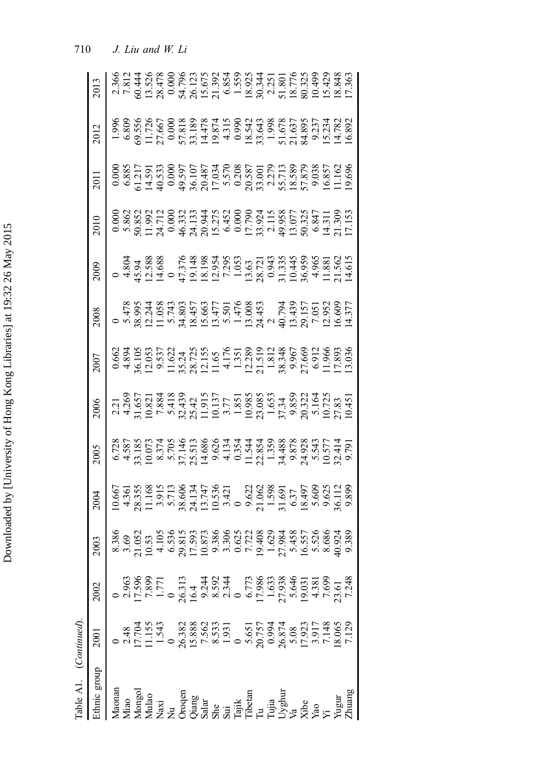| able A1. (Continued).                                                                                                                                                                                                                                                                                                                                                                                                                                                          |                                                                                                                                                                                                                                                                                              |      |                                                                                                                                                                                                     |      |     |                                                                                                                                                                                                                                                                                |            |     |     |     |      |      |
|--------------------------------------------------------------------------------------------------------------------------------------------------------------------------------------------------------------------------------------------------------------------------------------------------------------------------------------------------------------------------------------------------------------------------------------------------------------------------------|----------------------------------------------------------------------------------------------------------------------------------------------------------------------------------------------------------------------------------------------------------------------------------------------|------|-----------------------------------------------------------------------------------------------------------------------------------------------------------------------------------------------------|------|-----|--------------------------------------------------------------------------------------------------------------------------------------------------------------------------------------------------------------------------------------------------------------------------------|------------|-----|-----|-----|------|------|
| thnic group                                                                                                                                                                                                                                                                                                                                                                                                                                                                    | 2001                                                                                                                                                                                                                                                                                         | 2002 | 2003                                                                                                                                                                                                | 2004 | 005 | ,006                                                                                                                                                                                                                                                                           | <b>POO</b> | 800 | 600 | 010 | 2012 | 2013 |
|                                                                                                                                                                                                                                                                                                                                                                                                                                                                                |                                                                                                                                                                                                                                                                                              |      |                                                                                                                                                                                                     |      |     |                                                                                                                                                                                                                                                                                |            |     |     |     |      |      |
|                                                                                                                                                                                                                                                                                                                                                                                                                                                                                |                                                                                                                                                                                                                                                                                              |      |                                                                                                                                                                                                     |      |     |                                                                                                                                                                                                                                                                                |            |     |     |     |      |      |
|                                                                                                                                                                                                                                                                                                                                                                                                                                                                                |                                                                                                                                                                                                                                                                                              |      |                                                                                                                                                                                                     |      |     |                                                                                                                                                                                                                                                                                |            |     |     |     |      |      |
|                                                                                                                                                                                                                                                                                                                                                                                                                                                                                |                                                                                                                                                                                                                                                                                              |      |                                                                                                                                                                                                     |      |     |                                                                                                                                                                                                                                                                                |            |     |     |     |      |      |
|                                                                                                                                                                                                                                                                                                                                                                                                                                                                                |                                                                                                                                                                                                                                                                                              |      |                                                                                                                                                                                                     |      |     |                                                                                                                                                                                                                                                                                |            |     |     |     |      |      |
|                                                                                                                                                                                                                                                                                                                                                                                                                                                                                | $\begin{array}{cc} 1.748 \\ 1.1155 \\ 1.1154 \\ 1.1155 \\ 1.1154 \\ 1.1155 \\ 1.1154 \\ 1.1154 \\ 1.1154 \\ 1.1154 \\ 1.1154 \\ 1.1154 \\ 1.1154 \\ 1.1154 \\ 1.1154 \\ 1.1154 \\ 1.1154 \\ 1.1154 \\ 1.1154 \\ 1.1154 \\ 1.1154 \\ 1.1154 \\ 1.1154 \\ 1.1154 \\ 1.1154 \\ 1.1154 \\ 1.115$ |      | $8.380\n8.3021\n8.315\n8.321\n8.333\n8.343\n8.355\n8.368\n8.375\n8.389\n8.381\n8.391\n8.392\n8.393\n8.394\n8.395\n8.397\n8.399\n8.399\n8.399\n8.399\n8.399\n8.399\n8.399\n8.399\n8.399\n8.399\n8.3$ |      |     | $\begin{smallmatrix} 1.11 & 0.85 & 0.43 & 0.43 & 0.43 & 0.43 & 0.43 & 0.43 & 0.43 & 0.43 & 0.43 & 0.43 & 0.43 & 0.43 & 0.43 & 0.43 & 0.43 & 0.43 & 0.43 & 0.43 & 0.43 & 0.43 & 0.43 & 0.43 & 0.43 & 0.43 & 0.43 & 0.43 & 0.43 & 0.43 & 0.43 & 0.43 & 0.43 & 0.43 & 0.43 & 0.4$ |            |     |     |     |      |      |
|                                                                                                                                                                                                                                                                                                                                                                                                                                                                                |                                                                                                                                                                                                                                                                                              |      |                                                                                                                                                                                                     |      |     |                                                                                                                                                                                                                                                                                |            |     |     |     |      |      |
|                                                                                                                                                                                                                                                                                                                                                                                                                                                                                |                                                                                                                                                                                                                                                                                              |      |                                                                                                                                                                                                     |      |     |                                                                                                                                                                                                                                                                                |            |     |     |     |      |      |
|                                                                                                                                                                                                                                                                                                                                                                                                                                                                                |                                                                                                                                                                                                                                                                                              |      |                                                                                                                                                                                                     |      |     |                                                                                                                                                                                                                                                                                |            |     |     |     |      |      |
|                                                                                                                                                                                                                                                                                                                                                                                                                                                                                |                                                                                                                                                                                                                                                                                              |      |                                                                                                                                                                                                     |      |     |                                                                                                                                                                                                                                                                                |            |     |     |     |      |      |
|                                                                                                                                                                                                                                                                                                                                                                                                                                                                                |                                                                                                                                                                                                                                                                                              |      |                                                                                                                                                                                                     |      |     |                                                                                                                                                                                                                                                                                |            |     |     |     |      |      |
|                                                                                                                                                                                                                                                                                                                                                                                                                                                                                |                                                                                                                                                                                                                                                                                              |      |                                                                                                                                                                                                     |      |     |                                                                                                                                                                                                                                                                                |            |     |     |     |      |      |
|                                                                                                                                                                                                                                                                                                                                                                                                                                                                                |                                                                                                                                                                                                                                                                                              |      |                                                                                                                                                                                                     |      |     |                                                                                                                                                                                                                                                                                |            |     |     |     |      |      |
|                                                                                                                                                                                                                                                                                                                                                                                                                                                                                |                                                                                                                                                                                                                                                                                              |      |                                                                                                                                                                                                     |      |     |                                                                                                                                                                                                                                                                                |            |     |     |     |      |      |
|                                                                                                                                                                                                                                                                                                                                                                                                                                                                                |                                                                                                                                                                                                                                                                                              |      |                                                                                                                                                                                                     |      |     |                                                                                                                                                                                                                                                                                |            |     |     |     |      |      |
|                                                                                                                                                                                                                                                                                                                                                                                                                                                                                |                                                                                                                                                                                                                                                                                              |      |                                                                                                                                                                                                     |      |     |                                                                                                                                                                                                                                                                                |            |     |     |     |      |      |
|                                                                                                                                                                                                                                                                                                                                                                                                                                                                                |                                                                                                                                                                                                                                                                                              |      |                                                                                                                                                                                                     |      |     |                                                                                                                                                                                                                                                                                |            |     |     |     |      |      |
|                                                                                                                                                                                                                                                                                                                                                                                                                                                                                |                                                                                                                                                                                                                                                                                              |      |                                                                                                                                                                                                     |      |     |                                                                                                                                                                                                                                                                                |            |     |     |     |      |      |
|                                                                                                                                                                                                                                                                                                                                                                                                                                                                                |                                                                                                                                                                                                                                                                                              |      |                                                                                                                                                                                                     |      |     |                                                                                                                                                                                                                                                                                |            |     |     |     |      |      |
|                                                                                                                                                                                                                                                                                                                                                                                                                                                                                |                                                                                                                                                                                                                                                                                              |      |                                                                                                                                                                                                     |      |     |                                                                                                                                                                                                                                                                                |            |     |     |     |      |      |
|                                                                                                                                                                                                                                                                                                                                                                                                                                                                                |                                                                                                                                                                                                                                                                                              |      |                                                                                                                                                                                                     |      |     |                                                                                                                                                                                                                                                                                |            |     |     |     |      |      |
| $\begin{array}{l} \text{M}{\text{a}}{\text{on}} \\ \text{M}{\text{is}} \\ \text{M}{\text{on}} \\ \text{M}{\text{on}} \\ \text{M}{\text{on}} \\ \text{M}{\text{in}} \\ \text{M}{\text{in}} \\ \text{M}{\text{in}} \\ \text{M}{\text{in}} \\ \text{M}{\text{in}} \\ \text{M}{\text{in}} \\ \text{M}{\text{in}} \\ \text{M}{\text{in}} \\ \text{M}{\text{in}} \\ \text{M}{\text{in}} \\ \text{M}{\text{in}} \\ \text{M}{\text{in}} \\ \text{M}{\text{in}} \\ \text{M}{\text{in}}$ |                                                                                                                                                                                                                                                                                              |      |                                                                                                                                                                                                     |      |     |                                                                                                                                                                                                                                                                                |            |     |     |     |      |      |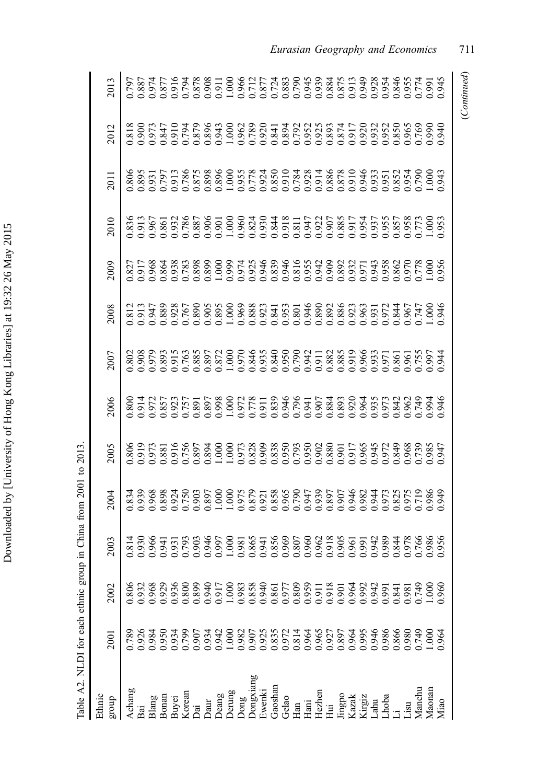| Table A2. NLDI for each ethnic group in China from 2001 to 2013 |      |      |      |      |      |      |      |      |      |      |      |      |      |
|-----------------------------------------------------------------|------|------|------|------|------|------|------|------|------|------|------|------|------|
| Ethnic<br>dno.fa                                                | 2001 | 2002 | 2003 | 2004 | 2005 | 2006 | 2007 | 2008 | 2009 | 2010 | 2011 | 2012 | 2013 |
| Achang                                                          |      |      |      |      |      |      |      |      |      |      |      |      |      |
| Bai                                                             |      |      |      |      |      |      |      |      |      |      |      |      |      |
|                                                                 |      |      |      |      |      |      |      |      |      |      |      |      |      |
| Blang<br>Bonan                                                  |      |      |      |      |      |      |      |      |      |      |      |      |      |
| Buyei<br>Korean                                                 |      |      |      |      |      |      |      |      |      |      |      |      |      |
|                                                                 |      |      |      |      |      |      |      |      |      |      |      |      |      |
| $\overline{a}$                                                  |      |      |      |      |      |      |      |      |      |      |      |      |      |
| Daur                                                            |      |      |      |      |      |      |      |      |      |      |      |      |      |
| Deang                                                           |      |      |      |      |      |      |      |      |      |      |      |      |      |
| Derung                                                          |      |      |      |      |      |      |      |      |      |      |      |      |      |
|                                                                 |      |      |      |      |      |      |      |      |      |      |      |      |      |
| Dong<br>Dongxiang<br>Ewenki<br>Gaoshan<br>Gelao<br>Gelao        |      |      |      |      |      |      |      |      |      |      |      |      |      |
|                                                                 |      |      |      |      |      |      |      |      |      |      |      |      |      |
|                                                                 |      |      |      |      |      |      |      |      |      |      |      |      |      |
|                                                                 |      |      |      |      |      |      |      |      |      |      |      |      |      |
|                                                                 |      |      |      |      |      |      |      |      |      |      |      |      |      |
|                                                                 |      |      |      |      |      |      |      |      |      |      |      |      |      |
|                                                                 |      |      |      |      |      |      |      |      |      |      |      |      |      |
|                                                                 |      |      |      |      |      |      |      |      |      |      |      |      |      |
|                                                                 |      |      |      |      |      |      |      |      |      |      |      |      |      |
| Hani<br>Hezhen<br>Hui Jingpo<br>Kazak<br>Kirgiz<br>Lahu<br>Lahu |      |      |      |      |      |      |      |      |      |      |      |      |      |
|                                                                 |      |      |      |      |      |      |      |      |      |      |      |      |      |
|                                                                 |      |      |      |      |      |      |      |      |      |      |      |      |      |
|                                                                 |      |      |      |      |      |      |      |      |      |      |      |      |      |
|                                                                 |      |      |      |      |      |      |      |      |      |      |      |      |      |
| usi                                                             |      |      |      |      |      |      |      |      |      |      |      |      |      |
| Manchu                                                          |      |      |      |      |      |      |      |      |      |      |      |      |      |
| Maonan                                                          |      |      |      |      |      |      |      |      |      |      |      |      |      |
| Viao                                                            |      |      |      |      |      |      |      |      |      |      |      |      |      |

(Continued)

 $(Continued)$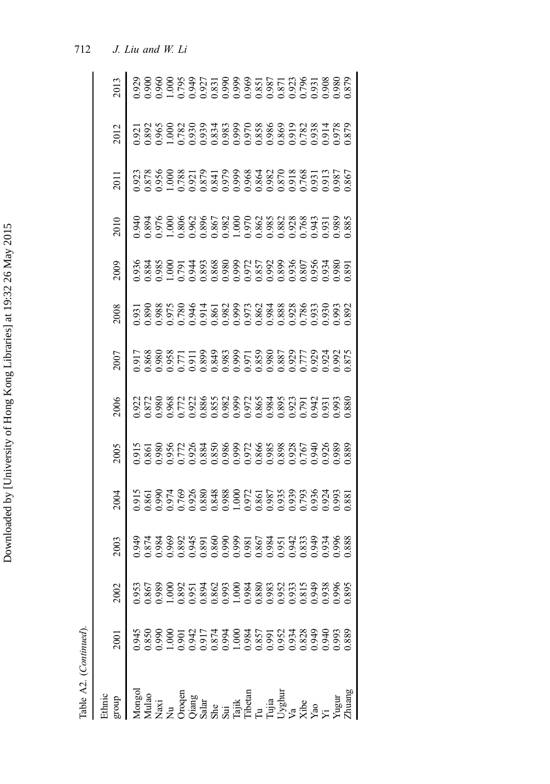| 3thnic<br>dnoré                                                                                                                                                                                                                                                                                                                                                                                                                                               | 2001 | 2002 | 2003 | 2004 | 2005 | 2006 | 2007                                                                                                        | 2008 | 2009 | 2010 | 2011 | 2012 | 2013 |
|---------------------------------------------------------------------------------------------------------------------------------------------------------------------------------------------------------------------------------------------------------------------------------------------------------------------------------------------------------------------------------------------------------------------------------------------------------------|------|------|------|------|------|------|-------------------------------------------------------------------------------------------------------------|------|------|------|------|------|------|
|                                                                                                                                                                                                                                                                                                                                                                                                                                                               |      |      |      |      |      |      |                                                                                                             |      |      |      |      |      |      |
|                                                                                                                                                                                                                                                                                                                                                                                                                                                               |      |      |      |      |      |      | 17888881711389888588887575288875<br>0.888888771138988888888875752888876<br>0.888888988888888888875752888875 |      |      |      |      |      |      |
|                                                                                                                                                                                                                                                                                                                                                                                                                                                               |      |      |      |      |      |      |                                                                                                             |      |      |      |      |      |      |
|                                                                                                                                                                                                                                                                                                                                                                                                                                                               |      |      |      |      |      |      |                                                                                                             |      |      |      |      |      |      |
|                                                                                                                                                                                                                                                                                                                                                                                                                                                               |      |      |      |      |      |      |                                                                                                             |      |      |      |      |      |      |
|                                                                                                                                                                                                                                                                                                                                                                                                                                                               |      |      |      |      |      |      |                                                                                                             |      |      |      |      |      |      |
|                                                                                                                                                                                                                                                                                                                                                                                                                                                               |      |      |      |      |      |      |                                                                                                             |      |      |      |      |      |      |
|                                                                                                                                                                                                                                                                                                                                                                                                                                                               |      |      |      |      |      |      |                                                                                                             |      |      |      |      |      |      |
|                                                                                                                                                                                                                                                                                                                                                                                                                                                               |      |      |      |      |      |      |                                                                                                             |      |      |      |      |      |      |
|                                                                                                                                                                                                                                                                                                                                                                                                                                                               |      |      |      |      |      |      |                                                                                                             |      |      |      |      |      |      |
|                                                                                                                                                                                                                                                                                                                                                                                                                                                               |      |      |      |      |      |      |                                                                                                             |      |      |      |      |      |      |
|                                                                                                                                                                                                                                                                                                                                                                                                                                                               |      |      |      |      |      |      |                                                                                                             |      |      |      |      |      |      |
|                                                                                                                                                                                                                                                                                                                                                                                                                                                               |      |      |      |      |      |      |                                                                                                             |      |      |      |      |      |      |
|                                                                                                                                                                                                                                                                                                                                                                                                                                                               |      |      |      |      |      |      |                                                                                                             |      |      |      |      |      |      |
|                                                                                                                                                                                                                                                                                                                                                                                                                                                               |      |      |      |      |      |      |                                                                                                             |      |      |      |      |      |      |
|                                                                                                                                                                                                                                                                                                                                                                                                                                                               |      |      |      |      |      |      |                                                                                                             |      |      |      |      |      |      |
|                                                                                                                                                                                                                                                                                                                                                                                                                                                               |      |      |      |      |      |      |                                                                                                             |      |      |      |      |      |      |
|                                                                                                                                                                                                                                                                                                                                                                                                                                                               |      |      |      |      |      |      |                                                                                                             |      |      |      |      |      |      |
|                                                                                                                                                                                                                                                                                                                                                                                                                                                               |      |      |      |      |      |      |                                                                                                             |      |      |      |      |      |      |
| $\begin{array}{ll} \text{Mongol} \\ \text{Mala} \\ \text{Maxi} \\ \text{Maxi} \\ \text{O:} \\ \text{O:} \\ \text{Maa} \\ \text{Maa} \\ \text{Maa} \\ \text{Maa} \\ \text{Maa} \\ \text{Maa} \\ \text{Maa} \\ \text{Maa} \\ \text{Maa} \\ \text{Maa} \\ \text{Maa} \\ \text{Maa} \\ \text{Maa} \\ \text{Maa} \\ \text{Maa} \\ \text{Maa} \\ \text{Maa} \\ \text{Maa} \\ \text{Maa} \\ \text{Maa} \\ \text{Maa} \\ \text{Maa} \\ \text{Maa} \\ \text{Maa} \\ \$ |      |      |      |      |      |      |                                                                                                             |      |      |      |      |      |      |

Table A2. (Continued).

Table A2. (Continued).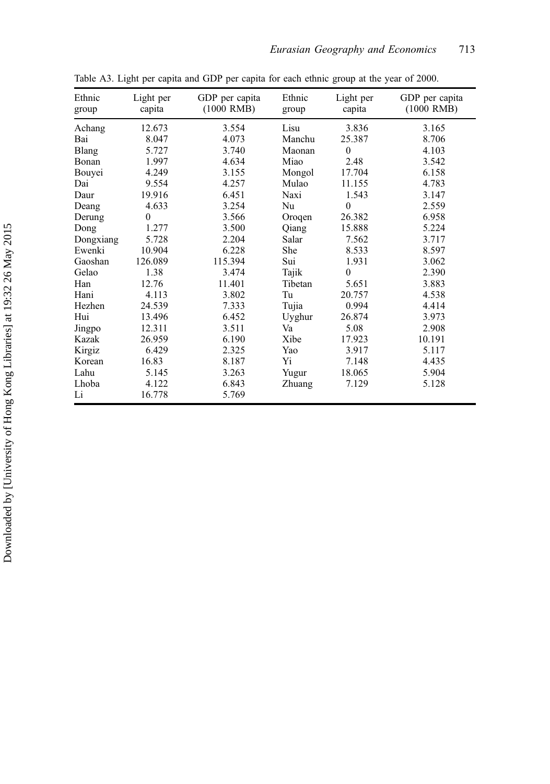| Ethnic<br>group | Light per<br>capita | GDP per capita<br>$(1000$ RMB) | Ethnic<br>group | Light per<br>capita | GDP per capita<br>$(1000$ RMB) |
|-----------------|---------------------|--------------------------------|-----------------|---------------------|--------------------------------|
| Achang          | 12.673              | 3.554                          | Lisu            | 3.836               | 3.165                          |
| Bai             | 8.047               | 4.073                          | Manchu          | 25.387              | 8.706                          |
| Blang           | 5.727               | 3.740                          | Maonan          | $\theta$            | 4.103                          |
| Bonan           | 1.997               | 4.634                          | Miao            | 2.48                | 3.542                          |
| Bouyei          | 4.249               | 3.155                          | Mongol          | 17.704              | 6.158                          |
| Dai             | 9.554               | 4.257                          | Mulao           | 11.155              | 4.783                          |
| Daur            | 19.916              | 6.451                          | Naxi            | 1.543               | 3.147                          |
| Deang           | 4.633               | 3.254                          | Nu              | $\theta$            | 2.559                          |
| Derung          | $\theta$            | 3.566                          | Oroqen          | 26.382              | 6.958                          |
| Dong            | 1.277               | 3.500                          | Qiang           | 15.888              | 5.224                          |
| Dongxiang       | 5.728               | 2.204                          | Salar           | 7.562               | 3.717                          |
| Ewenki          | 10.904              | 6.228                          | She             | 8.533               | 8.597                          |
| Gaoshan         | 126.089             | 115.394                        | Sui             | 1.931               | 3.062                          |
| Gelao           | 1.38                | 3.474                          | Tajik           | $\theta$            | 2.390                          |
| Han             | 12.76               | 11.401                         | Tibetan         | 5.651               | 3.883                          |
| Hani            | 4.113               | 3.802                          | Tu              | 20.757              | 4.538                          |
| Hezhen          | 24.539              | 7.333                          | Tujia           | 0.994               | 4.414                          |
| Hui             | 13.496              | 6.452                          | Uyghur          | 26.874              | 3.973                          |
| Jingpo          | 12.311              | 3.511                          | Va              | 5.08                | 2.908                          |
| Kazak           | 26.959              | 6.190                          | Xibe            | 17.923              | 10.191                         |
| Kirgiz          | 6.429               | 2.325                          | Yao             | 3.917               | 5.117                          |
| Korean          | 16.83               | 8.187                          | Yi              | 7.148               | 4.435                          |
| Lahu            | 5.145               | 3.263                          | Yugur           | 18.065              | 5.904                          |
| Lhoba           | 4.122               | 6.843                          | Zhuang          | 7.129               | 5.128                          |
| Li              | 16.778              | 5.769                          |                 |                     |                                |

Table A3. Light per capita and GDP per capita for each ethnic group at the year of 2000.